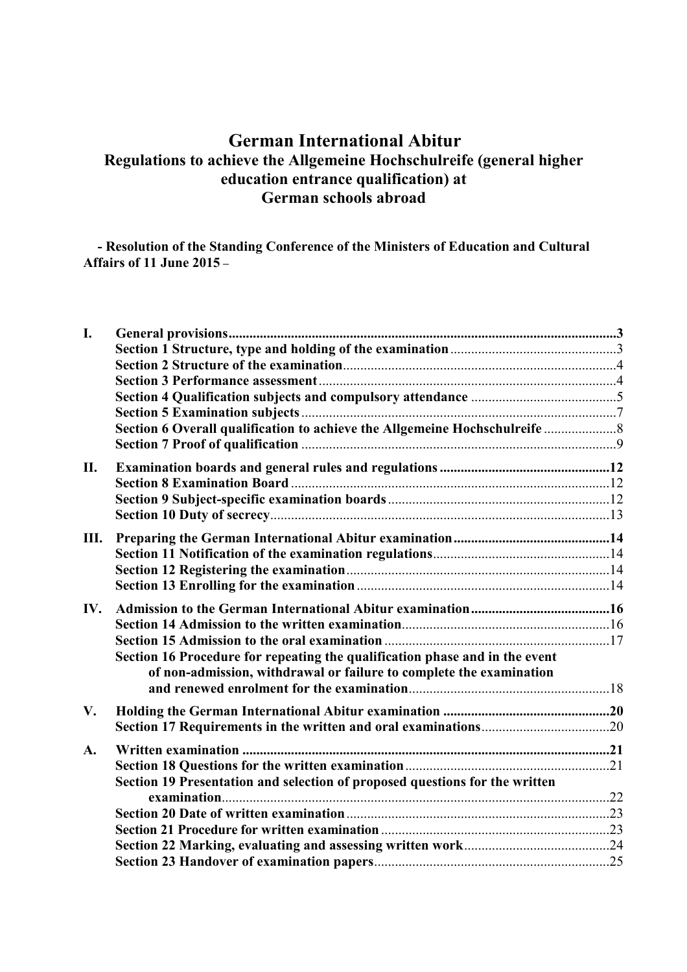# **German International Abitur Regulations to achieve the Allgemeine Hochschulreife (general higher education entrance qualification) at German schools abroad**

 **- Resolution of the Standing Conference of the Ministers of Education and Cultural Affairs of 11 June 2015 –**

| I.  |                                                                             |  |
|-----|-----------------------------------------------------------------------------|--|
|     |                                                                             |  |
|     |                                                                             |  |
|     |                                                                             |  |
|     |                                                                             |  |
|     |                                                                             |  |
|     | Section 6 Overall qualification to achieve the Allgemeine Hochschulreife    |  |
|     |                                                                             |  |
| П.  |                                                                             |  |
|     |                                                                             |  |
|     |                                                                             |  |
|     |                                                                             |  |
| Ш.  |                                                                             |  |
|     |                                                                             |  |
|     |                                                                             |  |
|     |                                                                             |  |
| IV. |                                                                             |  |
|     |                                                                             |  |
|     |                                                                             |  |
|     | Section 16 Procedure for repeating the qualification phase and in the event |  |
|     | of non-admission, withdrawal or failure to complete the examination         |  |
|     |                                                                             |  |
| V.  |                                                                             |  |
|     |                                                                             |  |
| A.  |                                                                             |  |
|     |                                                                             |  |
|     | Section 19 Presentation and selection of proposed questions for the written |  |
|     |                                                                             |  |
|     |                                                                             |  |
|     |                                                                             |  |
|     |                                                                             |  |
|     |                                                                             |  |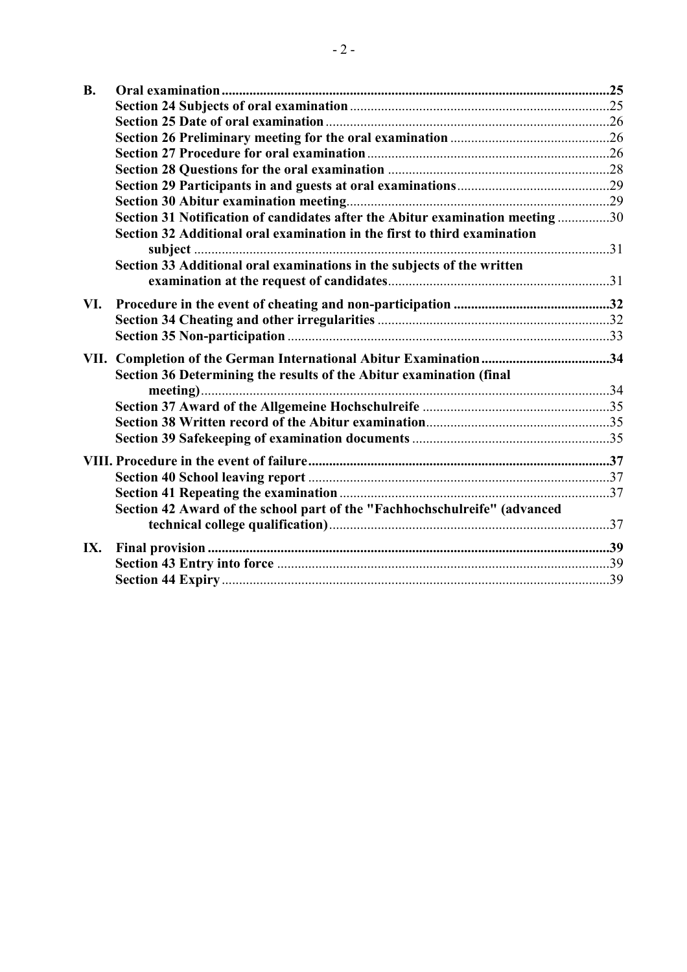| <b>B.</b> |                                                                               |  |
|-----------|-------------------------------------------------------------------------------|--|
|           |                                                                               |  |
|           |                                                                               |  |
|           |                                                                               |  |
|           |                                                                               |  |
|           |                                                                               |  |
|           |                                                                               |  |
|           |                                                                               |  |
|           | Section 31 Notification of candidates after the Abitur examination meeting 30 |  |
|           | Section 32 Additional oral examination in the first to third examination      |  |
|           |                                                                               |  |
|           | Section 33 Additional oral examinations in the subjects of the written        |  |
| VI.       |                                                                               |  |
|           |                                                                               |  |
|           |                                                                               |  |
| VII.      | Section 36 Determining the results of the Abitur examination (final           |  |
|           |                                                                               |  |
|           |                                                                               |  |
|           |                                                                               |  |
|           |                                                                               |  |
|           |                                                                               |  |
|           |                                                                               |  |
|           |                                                                               |  |
|           | Section 42 Award of the school part of the "Fachhochschulreife" (advanced     |  |
| IX.       |                                                                               |  |
|           |                                                                               |  |
|           |                                                                               |  |
|           |                                                                               |  |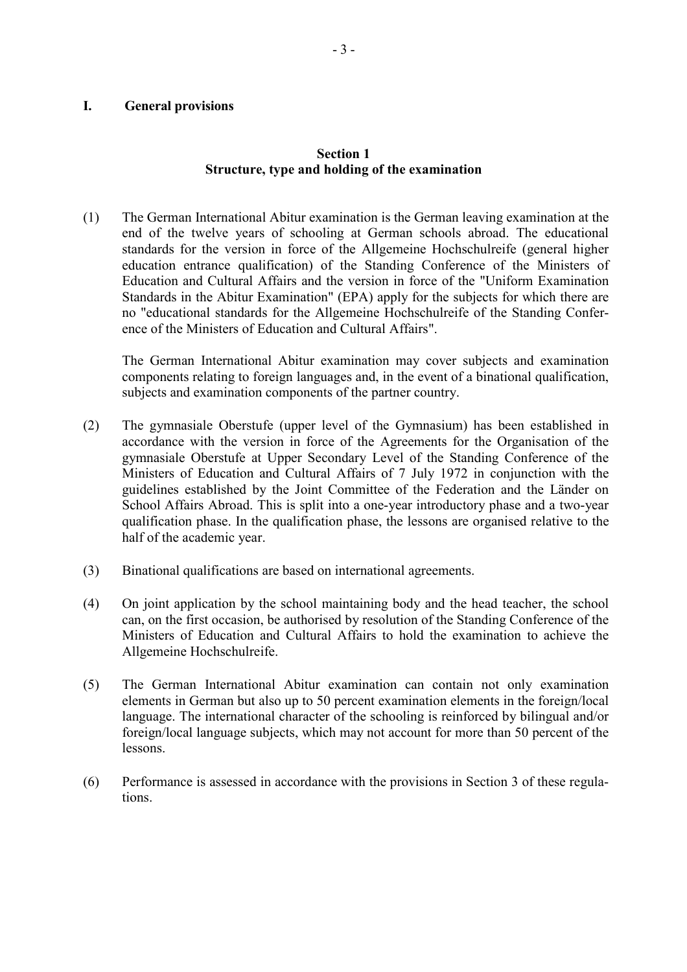#### **I. General provisions**

# **Section 1 Structure, type and holding of the examination**

(1) The German International Abitur examination is the German leaving examination at the end of the twelve years of schooling at German schools abroad. The educational standards for the version in force of the Allgemeine Hochschulreife (general higher education entrance qualification) of the Standing Conference of the Ministers of Education and Cultural Affairs and the version in force of the "Uniform Examination Standards in the Abitur Examination" (EPA) apply for the subjects for which there are no "educational standards for the Allgemeine Hochschulreife of the Standing Conference of the Ministers of Education and Cultural Affairs".

The German International Abitur examination may cover subjects and examination components relating to foreign languages and, in the event of a binational qualification, subjects and examination components of the partner country.

- (2) The gymnasiale Oberstufe (upper level of the Gymnasium) has been established in accordance with the version in force of the Agreements for the Organisation of the gymnasiale Oberstufe at Upper Secondary Level of the Standing Conference of the Ministers of Education and Cultural Affairs of 7 July 1972 in conjunction with the guidelines established by the Joint Committee of the Federation and the Länder on School Affairs Abroad. This is split into a one-year introductory phase and a two-year qualification phase. In the qualification phase, the lessons are organised relative to the half of the academic year.
- (3) Binational qualifications are based on international agreements.
- (4) On joint application by the school maintaining body and the head teacher, the school can, on the first occasion, be authorised by resolution of the Standing Conference of the Ministers of Education and Cultural Affairs to hold the examination to achieve the Allgemeine Hochschulreife.
- (5) The German International Abitur examination can contain not only examination elements in German but also up to 50 percent examination elements in the foreign/local language. The international character of the schooling is reinforced by bilingual and/or foreign/local language subjects, which may not account for more than 50 percent of the lessons.
- (6) Performance is assessed in accordance with the provisions in Section 3 of these regulations.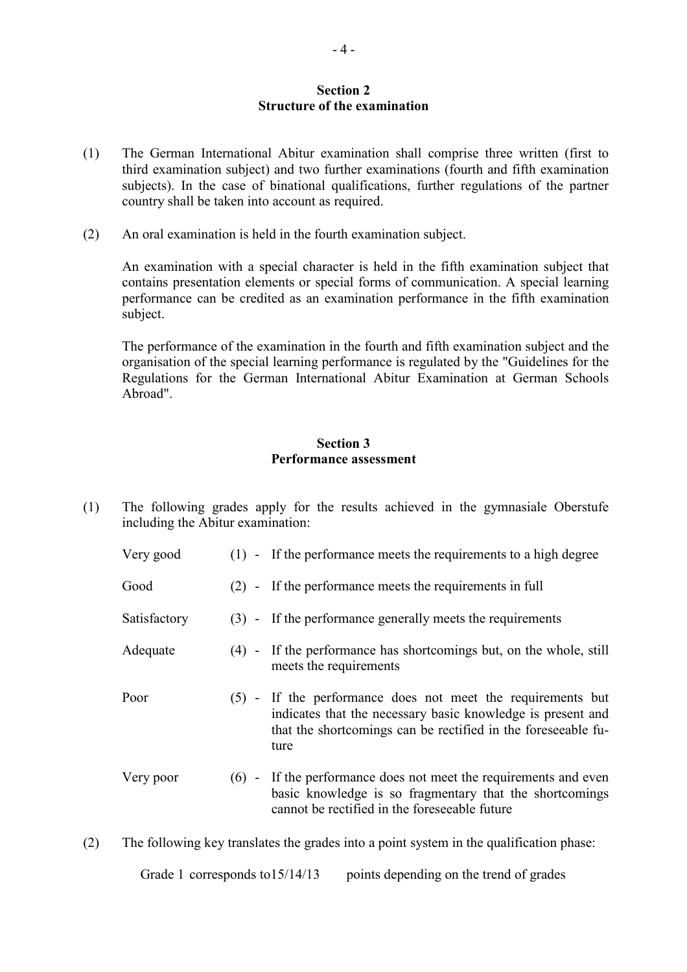# **Section 2 Structure of the examination**

- (1) The German International Abitur examination shall comprise three written (first to third examination subject) and two further examinations (fourth and fifth examination subjects). In the case of binational qualifications, further regulations of the partner country shall be taken into account as required.
- (2) An oral examination is held in the fourth examination subject.

An examination with a special character is held in the fifth examination subject that contains presentation elements or special forms of communication. A special learning performance can be credited as an examination performance in the fifth examination subject.

The performance of the examination in the fourth and fifth examination subject and the organisation of the special learning performance is regulated by the "Guidelines for the Regulations for the German International Abitur Examination at German Schools Abroad".

# **Section 3 Performance assessment**

- (1) The following grades apply for the results achieved in the gymnasiale Oberstufe including the Abitur examination:
	- Very good (1) If the performance meets the requirements to a high degree Good (2) - If the performance meets the requirements in full Satisfactory (3) - If the performance generally meets the requirements Adequate (4) - If the performance has shortcomings but, on the whole, still meets the requirements Poor (5) - If the performance does not meet the requirements but indicates that the necessary basic knowledge is present and that the shortcomings can be rectified in the foreseeable future Very poor (6) - If the performance does not meet the requirements and even basic knowledge is so fragmentary that the shortcomings cannot be rectified in the foreseeable future
- (2) The following key translates the grades into a point system in the qualification phase:

Grade 1 corresponds to 15/14/13 points depending on the trend of grades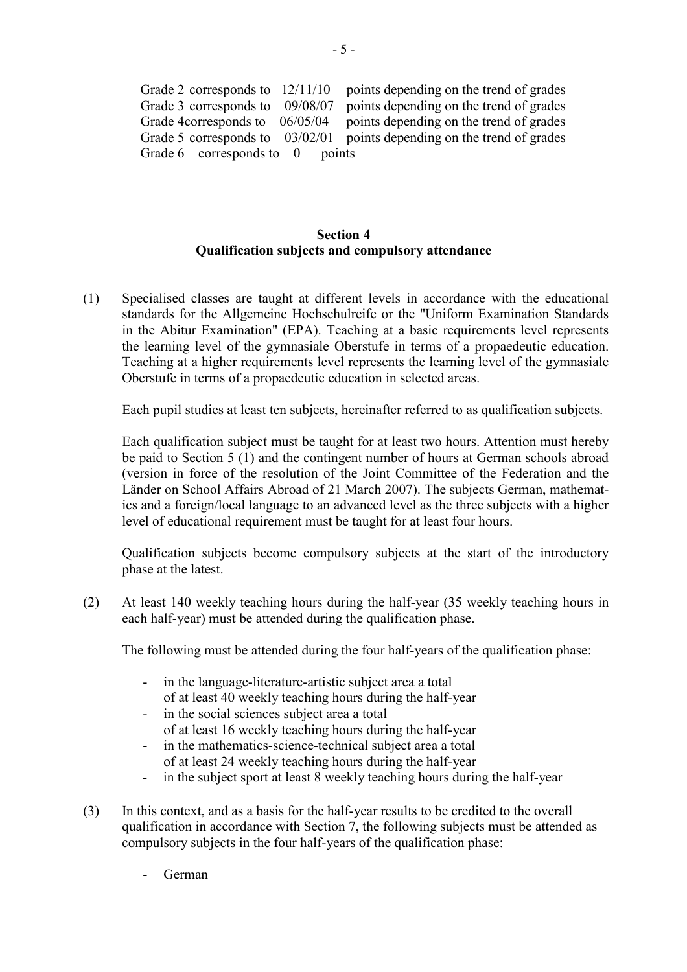| Grade 2 corresponds to $12/11/10$   | points depending on the trend of grades                                   |
|-------------------------------------|---------------------------------------------------------------------------|
| Grade 3 corresponds to 09/08/07     | points depending on the trend of grades                                   |
| Grade 4 corresponds to 06/05/04     | points depending on the trend of grades                                   |
|                                     | Grade 5 corresponds to $03/02/01$ points depending on the trend of grades |
| Grade $6$ corresponds to $0$ points |                                                                           |

# **Section 4 Qualification subjects and compulsory attendance**

(1) Specialised classes are taught at different levels in accordance with the educational standards for the Allgemeine Hochschulreife or the "Uniform Examination Standards in the Abitur Examination" (EPA). Teaching at a basic requirements level represents the learning level of the gymnasiale Oberstufe in terms of a propaedeutic education. Teaching at a higher requirements level represents the learning level of the gymnasiale Oberstufe in terms of a propaedeutic education in selected areas.

Each pupil studies at least ten subjects, hereinafter referred to as qualification subjects.

Each qualification subject must be taught for at least two hours. Attention must hereby be paid to Section 5 (1) and the contingent number of hours at German schools abroad (version in force of the resolution of the Joint Committee of the Federation and the Länder on School Affairs Abroad of 21 March 2007). The subjects German, mathematics and a foreign/local language to an advanced level as the three subjects with a higher level of educational requirement must be taught for at least four hours.

Qualification subjects become compulsory subjects at the start of the introductory phase at the latest.

(2) At least 140 weekly teaching hours during the half-year (35 weekly teaching hours in each half-year) must be attended during the qualification phase.

The following must be attended during the four half-years of the qualification phase:

- in the language-literature-artistic subject area a total of at least 40 weekly teaching hours during the half-year
- in the social sciences subject area a total of at least 16 weekly teaching hours during the half-year
- in the mathematics-science-technical subject area a total of at least 24 weekly teaching hours during the half-year
- in the subject sport at least 8 weekly teaching hours during the half-year
- (3) In this context, and as a basis for the half-year results to be credited to the overall qualification in accordance with Section 7, the following subjects must be attended as compulsory subjects in the four half-years of the qualification phase:
	- German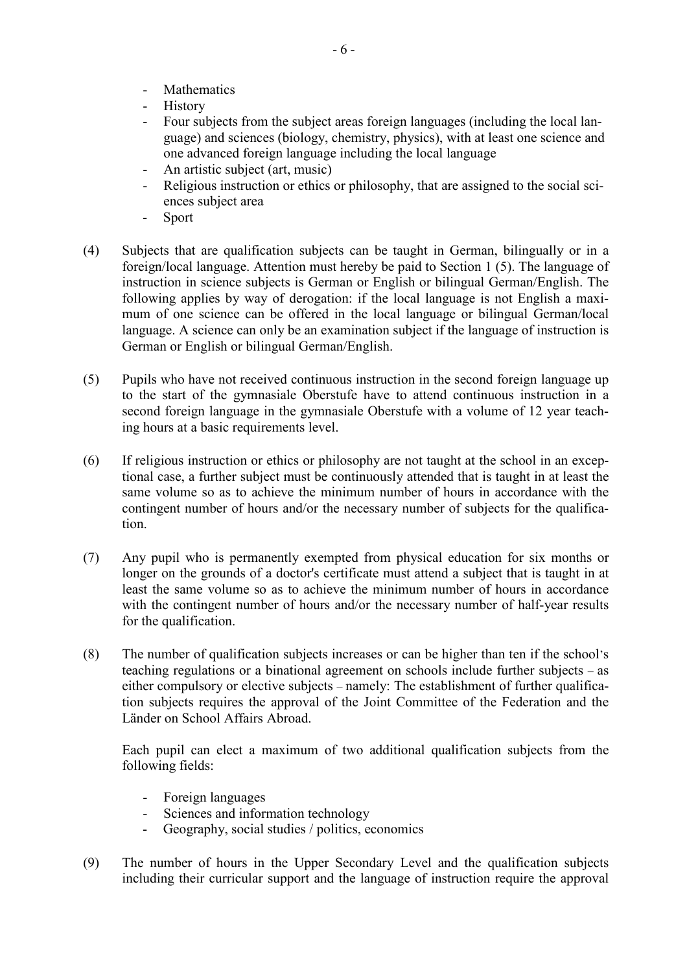- **Mathematics**
- History
- Four subjects from the subject areas foreign languages (including the local language) and sciences (biology, chemistry, physics), with at least one science and one advanced foreign language including the local language
- An artistic subject (art, music)
- Religious instruction or ethics or philosophy, that are assigned to the social sciences subject area
- Sport
- (4) Subjects that are qualification subjects can be taught in German, bilingually or in a foreign/local language. Attention must hereby be paid to Section 1 (5). The language of instruction in science subjects is German or English or bilingual German/English. The following applies by way of derogation: if the local language is not English a maximum of one science can be offered in the local language or bilingual German/local language. A science can only be an examination subject if the language of instruction is German or English or bilingual German/English.
- (5) Pupils who have not received continuous instruction in the second foreign language up to the start of the gymnasiale Oberstufe have to attend continuous instruction in a second foreign language in the gymnasiale Oberstufe with a volume of 12 year teaching hours at a basic requirements level.
- (6) If religious instruction or ethics or philosophy are not taught at the school in an exceptional case, a further subject must be continuously attended that is taught in at least the same volume so as to achieve the minimum number of hours in accordance with the contingent number of hours and/or the necessary number of subjects for the qualification.
- (7) Any pupil who is permanently exempted from physical education for six months or longer on the grounds of a doctor's certificate must attend a subject that is taught in at least the same volume so as to achieve the minimum number of hours in accordance with the contingent number of hours and/or the necessary number of half-year results for the qualification.
- (8) The number of qualification subjects increases or can be higher than ten if the school's teaching regulations or a binational agreement on schools include further subjects – as either compulsory or elective subjects – namely: The establishment of further qualification subjects requires the approval of the Joint Committee of the Federation and the Länder on School Affairs Abroad.

Each pupil can elect a maximum of two additional qualification subjects from the following fields:

- Foreign languages
- Sciences and information technology
- Geography, social studies / politics, economics
- (9) The number of hours in the Upper Secondary Level and the qualification subjects including their curricular support and the language of instruction require the approval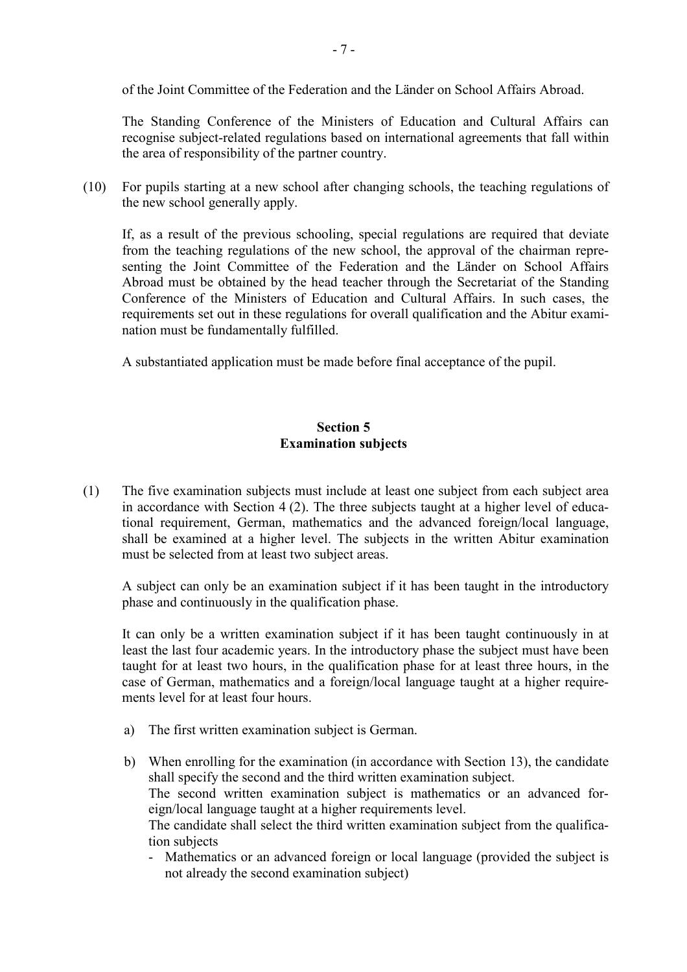of the Joint Committee of the Federation and the Länder on School Affairs Abroad.

The Standing Conference of the Ministers of Education and Cultural Affairs can recognise subject-related regulations based on international agreements that fall within the area of responsibility of the partner country.

(10) For pupils starting at a new school after changing schools, the teaching regulations of the new school generally apply.

If, as a result of the previous schooling, special regulations are required that deviate from the teaching regulations of the new school, the approval of the chairman representing the Joint Committee of the Federation and the Länder on School Affairs Abroad must be obtained by the head teacher through the Secretariat of the Standing Conference of the Ministers of Education and Cultural Affairs. In such cases, the requirements set out in these regulations for overall qualification and the Abitur examination must be fundamentally fulfilled.

A substantiated application must be made before final acceptance of the pupil.

# **Section 5 Examination subjects**

(1) The five examination subjects must include at least one subject from each subject area in accordance with Section 4 (2). The three subjects taught at a higher level of educational requirement, German, mathematics and the advanced foreign/local language, shall be examined at a higher level. The subjects in the written Abitur examination must be selected from at least two subject areas.

A subject can only be an examination subject if it has been taught in the introductory phase and continuously in the qualification phase.

It can only be a written examination subject if it has been taught continuously in at least the last four academic years. In the introductory phase the subject must have been taught for at least two hours, in the qualification phase for at least three hours, in the case of German, mathematics and a foreign/local language taught at a higher requirements level for at least four hours.

- a) The first written examination subject is German.
- b) When enrolling for the examination (in accordance with Section 13), the candidate shall specify the second and the third written examination subject. The second written examination subject is mathematics or an advanced foreign/local language taught at a higher requirements level. The candidate shall select the third written examination subject from the qualification subjects
	- Mathematics or an advanced foreign or local language (provided the subject is not already the second examination subject)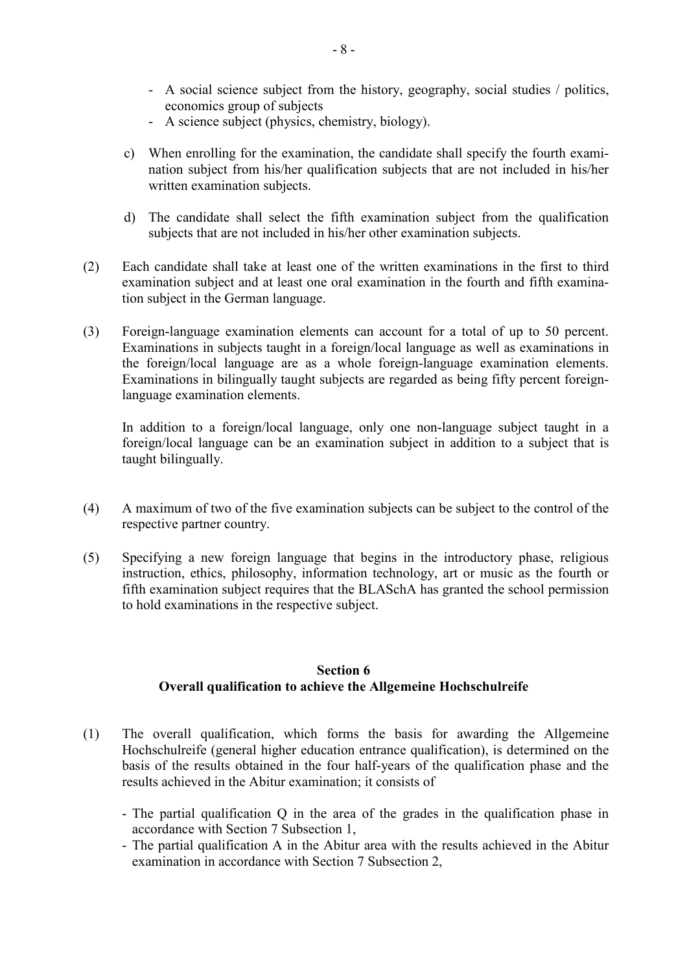- A social science subject from the history, geography, social studies / politics, economics group of subjects
- A science subject (physics, chemistry, biology).
- c) When enrolling for the examination, the candidate shall specify the fourth examination subject from his/her qualification subjects that are not included in his/her written examination subjects.
- d) The candidate shall select the fifth examination subject from the qualification subjects that are not included in his/her other examination subjects.
- (2) Each candidate shall take at least one of the written examinations in the first to third examination subject and at least one oral examination in the fourth and fifth examination subject in the German language.
- (3) Foreign-language examination elements can account for a total of up to 50 percent. Examinations in subjects taught in a foreign/local language as well as examinations in the foreign/local language are as a whole foreign-language examination elements. Examinations in bilingually taught subjects are regarded as being fifty percent foreignlanguage examination elements.

In addition to a foreign/local language, only one non-language subject taught in a foreign/local language can be an examination subject in addition to a subject that is taught bilingually.

- (4) A maximum of two of the five examination subjects can be subject to the control of the respective partner country.
- (5) Specifying a new foreign language that begins in the introductory phase, religious instruction, ethics, philosophy, information technology, art or music as the fourth or fifth examination subject requires that the BLASchA has granted the school permission to hold examinations in the respective subject.

## **Section 6 Overall qualification to achieve the Allgemeine Hochschulreife**

- (1) The overall qualification, which forms the basis for awarding the Allgemeine Hochschulreife (general higher education entrance qualification), is determined on the basis of the results obtained in the four half-years of the qualification phase and the results achieved in the Abitur examination; it consists of
	- The partial qualification Q in the area of the grades in the qualification phase in accordance with Section 7 Subsection 1,
	- The partial qualification A in the Abitur area with the results achieved in the Abitur examination in accordance with Section 7 Subsection 2,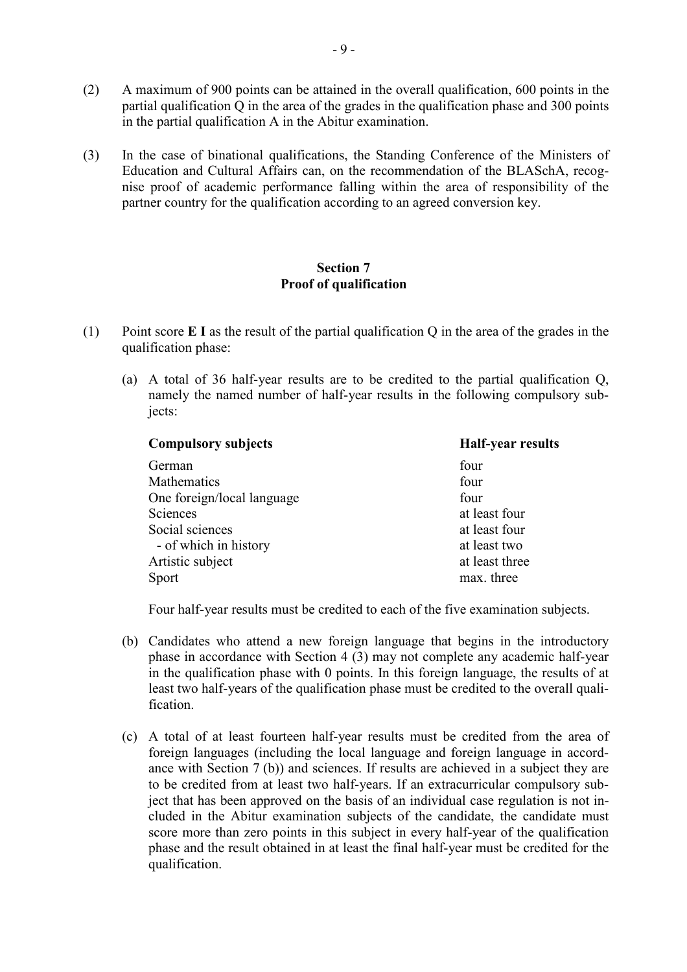- (2) A maximum of 900 points can be attained in the overall qualification, 600 points in the partial qualification Q in the area of the grades in the qualification phase and 300 points in the partial qualification A in the Abitur examination.
- (3) In the case of binational qualifications, the Standing Conference of the Ministers of Education and Cultural Affairs can, on the recommendation of the BLASchA, recognise proof of academic performance falling within the area of responsibility of the partner country for the qualification according to an agreed conversion key.

### **Section 7 Proof of qualification**

- (1) Point score **E I** as the result of the partial qualification Q in the area of the grades in the qualification phase:
	- (a) A total of 36 half-year results are to be credited to the partial qualification Q, namely the named number of half-year results in the following compulsory subiects:

| <b>Compulsory subjects</b> | <b>Half-year results</b> |  |
|----------------------------|--------------------------|--|
| German                     | four                     |  |
| Mathematics                | four                     |  |
| One foreign/local language | four                     |  |
| Sciences                   | at least four            |  |
| Social sciences            | at least four            |  |
| - of which in history      | at least two             |  |
| Artistic subject           | at least three           |  |
| Sport                      | max. three               |  |

Four half-year results must be credited to each of the five examination subjects.

- (b) Candidates who attend a new foreign language that begins in the introductory phase in accordance with Section 4 (3) may not complete any academic half-year in the qualification phase with 0 points. In this foreign language, the results of at least two half-years of the qualification phase must be credited to the overall qualification.
- (c) A total of at least fourteen half-year results must be credited from the area of foreign languages (including the local language and foreign language in accordance with Section 7 (b)) and sciences. If results are achieved in a subject they are to be credited from at least two half-years. If an extracurricular compulsory subject that has been approved on the basis of an individual case regulation is not included in the Abitur examination subjects of the candidate, the candidate must score more than zero points in this subject in every half-year of the qualification phase and the result obtained in at least the final half-year must be credited for the qualification.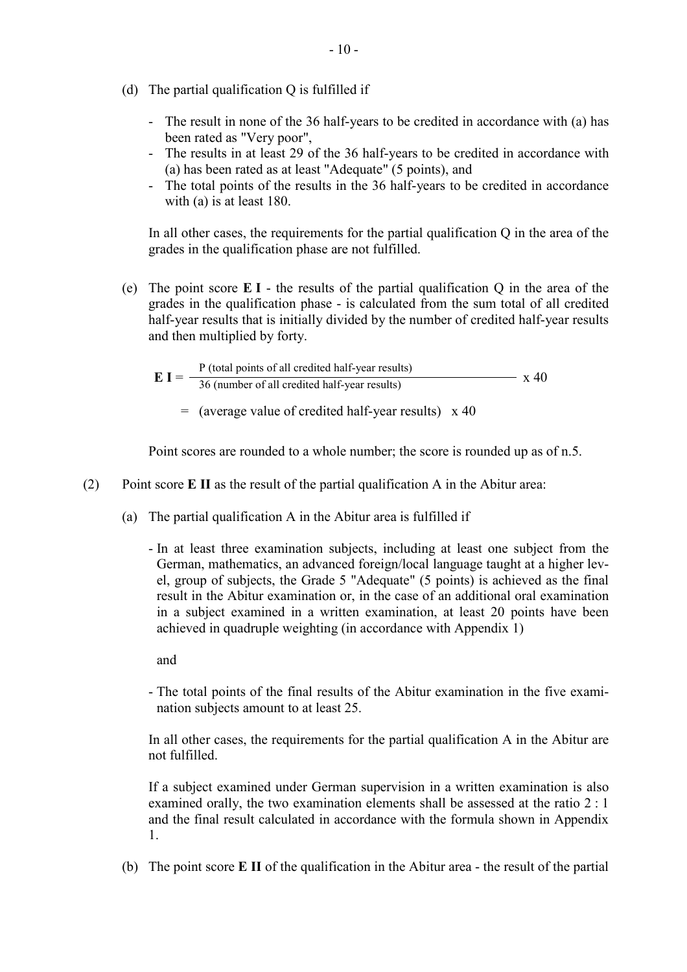- (d) The partial qualification Q is fulfilled if
	- The result in none of the 36 half-years to be credited in accordance with (a) has been rated as "Very poor",
	- The results in at least 29 of the 36 half-years to be credited in accordance with (a) has been rated as at least "Adequate" (5 points), and
	- The total points of the results in the 36 half-years to be credited in accordance with (a) is at least 180.

In all other cases, the requirements for the partial qualification Q in the area of the grades in the qualification phase are not fulfilled.

(e) The point score **E I** - the results of the partial qualification Q in the area of the grades in the qualification phase - is calculated from the sum total of all credited half-year results that is initially divided by the number of credited half-year results and then multiplied by forty.

$$
E I = \frac{P \text{ (total points of all credited half-year results)}}{36 \text{ (number of all credited half-year results)}}
$$
 x 40

 $=$  (average value of credited half-year results)  $\times$  40

Point scores are rounded to a whole number; the score is rounded up as of n.5.

- (2) Point score **E II** as the result of the partial qualification A in the Abitur area:
	- (a) The partial qualification A in the Abitur area is fulfilled if
		- In at least three examination subjects, including at least one subject from the German, mathematics, an advanced foreign/local language taught at a higher level, group of subjects, the Grade 5 "Adequate" (5 points) is achieved as the final result in the Abitur examination or, in the case of an additional oral examination in a subject examined in a written examination, at least 20 points have been achieved in quadruple weighting (in accordance with Appendix 1)

and

- The total points of the final results of the Abitur examination in the five examination subjects amount to at least 25.

In all other cases, the requirements for the partial qualification A in the Abitur are not fulfilled.

If a subject examined under German supervision in a written examination is also examined orally, the two examination elements shall be assessed at the ratio 2 : 1 and the final result calculated in accordance with the formula shown in Appendix 1.

(b) The point score **E II** of the qualification in the Abitur area - the result of the partial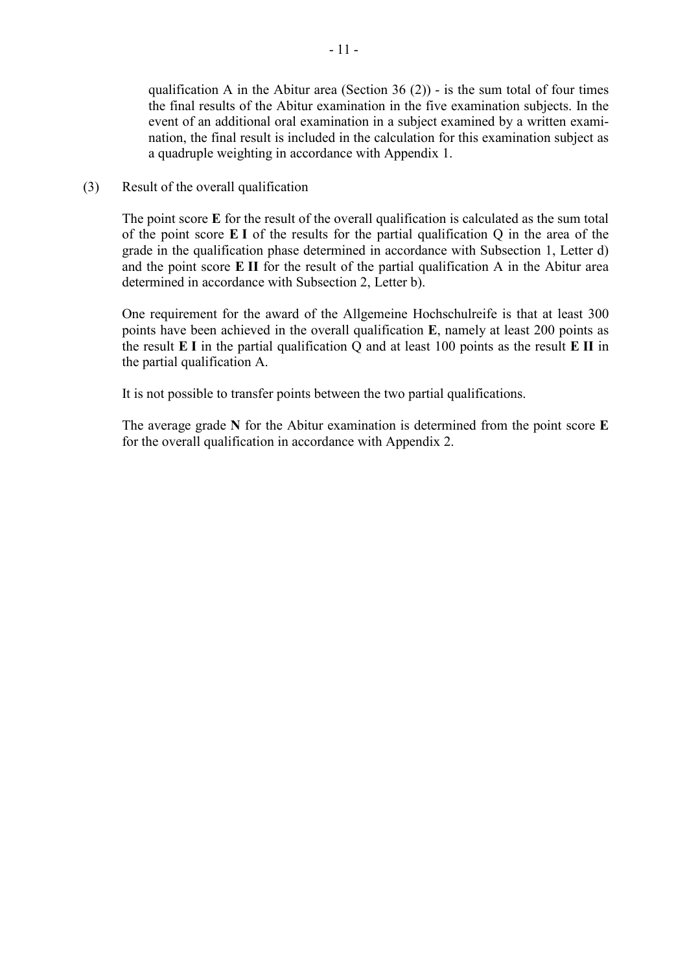qualification A in the Abitur area (Section  $36(2)$ ) - is the sum total of four times the final results of the Abitur examination in the five examination subjects. In the event of an additional oral examination in a subject examined by a written examination, the final result is included in the calculation for this examination subject as a quadruple weighting in accordance with Appendix 1.

(3) Result of the overall qualification

The point score **E** for the result of the overall qualification is calculated as the sum total of the point score **E I** of the results for the partial qualification Q in the area of the grade in the qualification phase determined in accordance with Subsection 1, Letter d) and the point score **E II** for the result of the partial qualification A in the Abitur area determined in accordance with Subsection 2, Letter b).

One requirement for the award of the Allgemeine Hochschulreife is that at least 300 points have been achieved in the overall qualification **E**, namely at least 200 points as the result **E I** in the partial qualification Q and at least 100 points as the result **E II** in the partial qualification A.

It is not possible to transfer points between the two partial qualifications.

The average grade **N** for the Abitur examination is determined from the point score **E**  for the overall qualification in accordance with Appendix 2.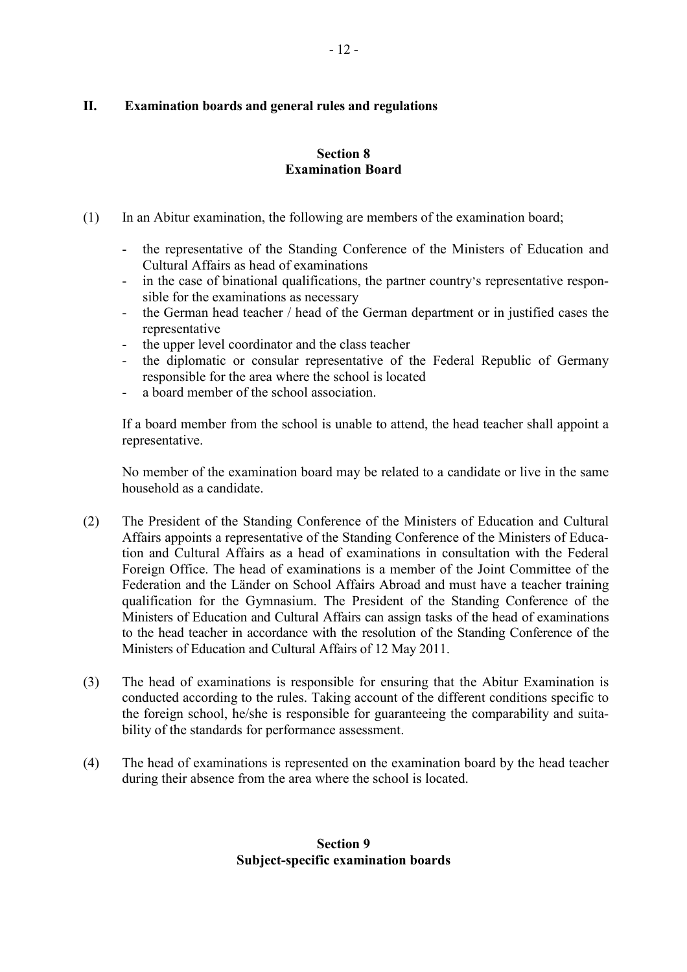# **II. Examination boards and general rules and regulations**

# **Section 8 Examination Board**

- (1) In an Abitur examination, the following are members of the examination board;
	- the representative of the Standing Conference of the Ministers of Education and Cultural Affairs as head of examinations
	- in the case of binational qualifications, the partner country's representative responsible for the examinations as necessary
	- the German head teacher / head of the German department or in justified cases the representative
	- the upper level coordinator and the class teacher
	- the diplomatic or consular representative of the Federal Republic of Germany responsible for the area where the school is located
	- a board member of the school association.

If a board member from the school is unable to attend, the head teacher shall appoint a representative.

No member of the examination board may be related to a candidate or live in the same household as a candidate.

- (2) The President of the Standing Conference of the Ministers of Education and Cultural Affairs appoints a representative of the Standing Conference of the Ministers of Education and Cultural Affairs as a head of examinations in consultation with the Federal Foreign Office. The head of examinations is a member of the Joint Committee of the Federation and the Länder on School Affairs Abroad and must have a teacher training qualification for the Gymnasium. The President of the Standing Conference of the Ministers of Education and Cultural Affairs can assign tasks of the head of examinations to the head teacher in accordance with the resolution of the Standing Conference of the Ministers of Education and Cultural Affairs of 12 May 2011.
- (3) The head of examinations is responsible for ensuring that the Abitur Examination is conducted according to the rules. Taking account of the different conditions specific to the foreign school, he/she is responsible for guaranteeing the comparability and suitability of the standards for performance assessment.
- (4) The head of examinations is represented on the examination board by the head teacher during their absence from the area where the school is located.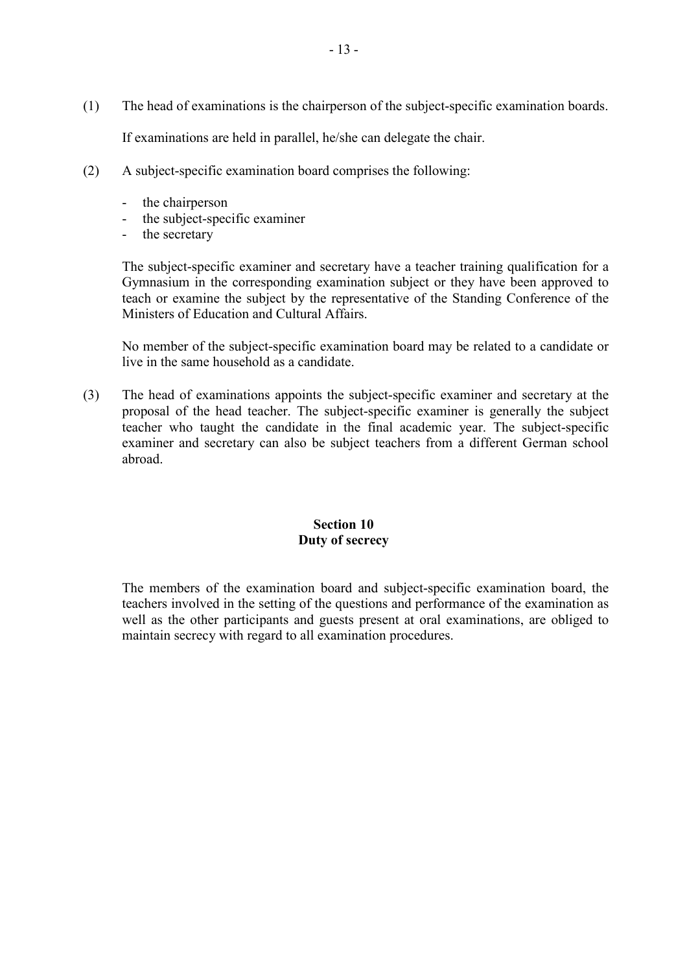(1) The head of examinations is the chairperson of the subject-specific examination boards.

If examinations are held in parallel, he/she can delegate the chair.

- (2) A subject-specific examination board comprises the following:
	- the chairperson
	- the subject-specific examiner
	- the secretary

The subject-specific examiner and secretary have a teacher training qualification for a Gymnasium in the corresponding examination subject or they have been approved to teach or examine the subject by the representative of the Standing Conference of the Ministers of Education and Cultural Affairs.

No member of the subject-specific examination board may be related to a candidate or live in the same household as a candidate.

(3) The head of examinations appoints the subject-specific examiner and secretary at the proposal of the head teacher. The subject-specific examiner is generally the subject teacher who taught the candidate in the final academic year. The subject-specific examiner and secretary can also be subject teachers from a different German school abroad.

# **Section 10 Duty of secrecy**

 The members of the examination board and subject-specific examination board, the teachers involved in the setting of the questions and performance of the examination as well as the other participants and guests present at oral examinations, are obliged to maintain secrecy with regard to all examination procedures.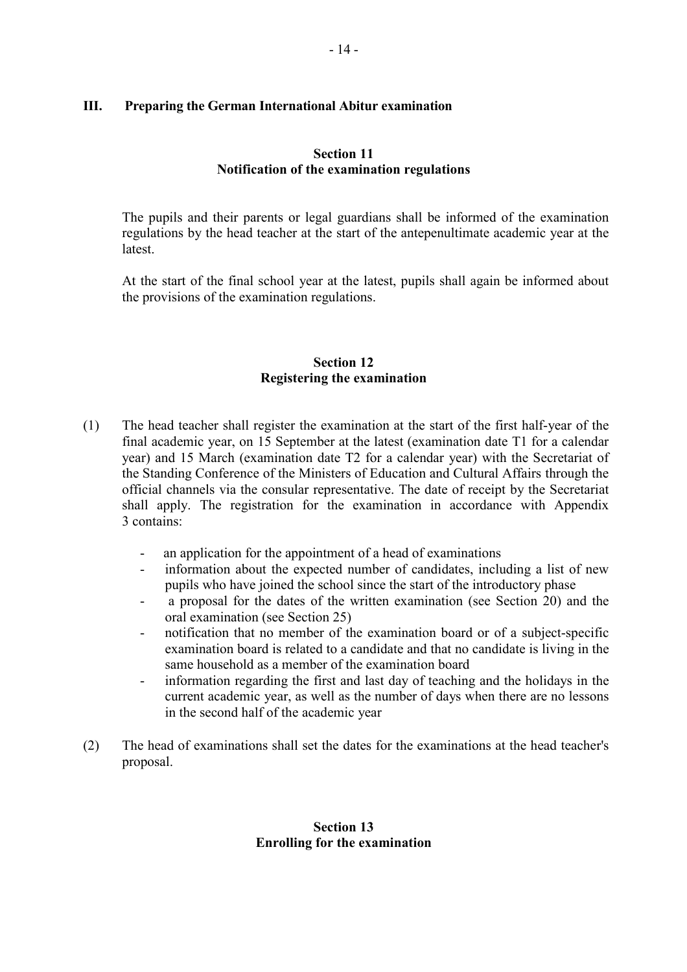# **III. Preparing the German International Abitur examination**

# **Section 11 Notification of the examination regulations**

 The pupils and their parents or legal guardians shall be informed of the examination regulations by the head teacher at the start of the antepenultimate academic year at the **latest** 

At the start of the final school year at the latest, pupils shall again be informed about the provisions of the examination regulations.

### **Section 12 Registering the examination**

- (1) The head teacher shall register the examination at the start of the first half-year of the final academic year, on 15 September at the latest (examination date T1 for a calendar year) and 15 March (examination date T2 for a calendar year) with the Secretariat of the Standing Conference of the Ministers of Education and Cultural Affairs through the official channels via the consular representative. The date of receipt by the Secretariat shall apply. The registration for the examination in accordance with Appendix 3 contains:
	- an application for the appointment of a head of examinations
	- information about the expected number of candidates, including a list of new pupils who have joined the school since the start of the introductory phase
	- a proposal for the dates of the written examination (see Section 20) and the oral examination (see Section 25)
	- notification that no member of the examination board or of a subject-specific examination board is related to a candidate and that no candidate is living in the same household as a member of the examination board
	- information regarding the first and last day of teaching and the holidays in the current academic year, as well as the number of days when there are no lessons in the second half of the academic year
- (2) The head of examinations shall set the dates for the examinations at the head teacher's proposal.

### **Section 13 Enrolling for the examination**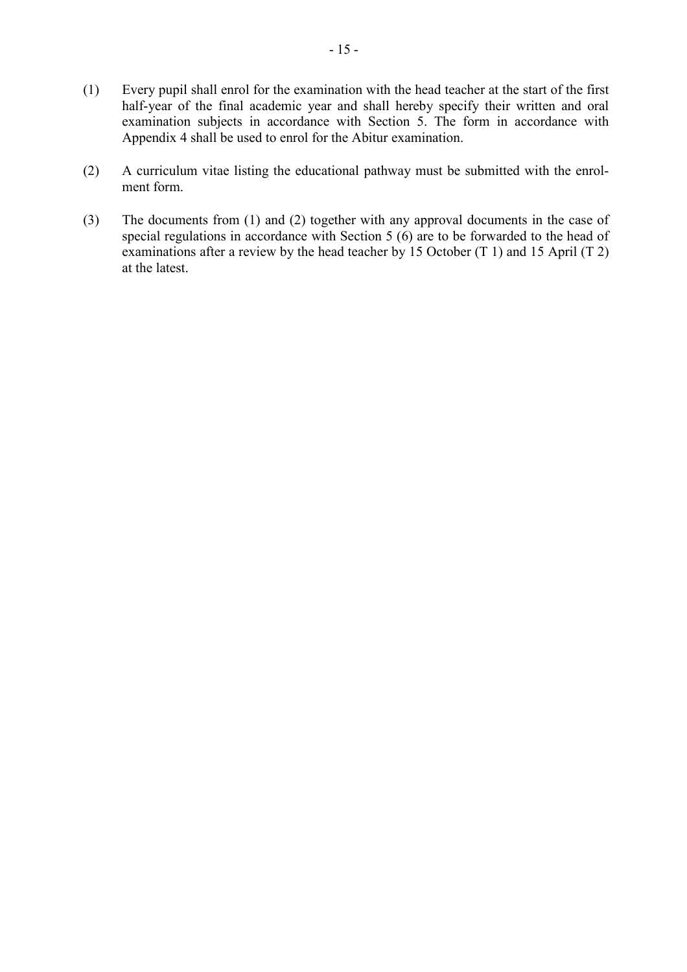- (1) Every pupil shall enrol for the examination with the head teacher at the start of the first half-year of the final academic year and shall hereby specify their written and oral examination subjects in accordance with Section 5. The form in accordance with Appendix 4 shall be used to enrol for the Abitur examination.
- (2) A curriculum vitae listing the educational pathway must be submitted with the enrolment form.
- (3) The documents from (1) and (2) together with any approval documents in the case of special regulations in accordance with Section 5 (6) are to be forwarded to the head of examinations after a review by the head teacher by 15 October (T 1) and 15 April (T 2) at the latest.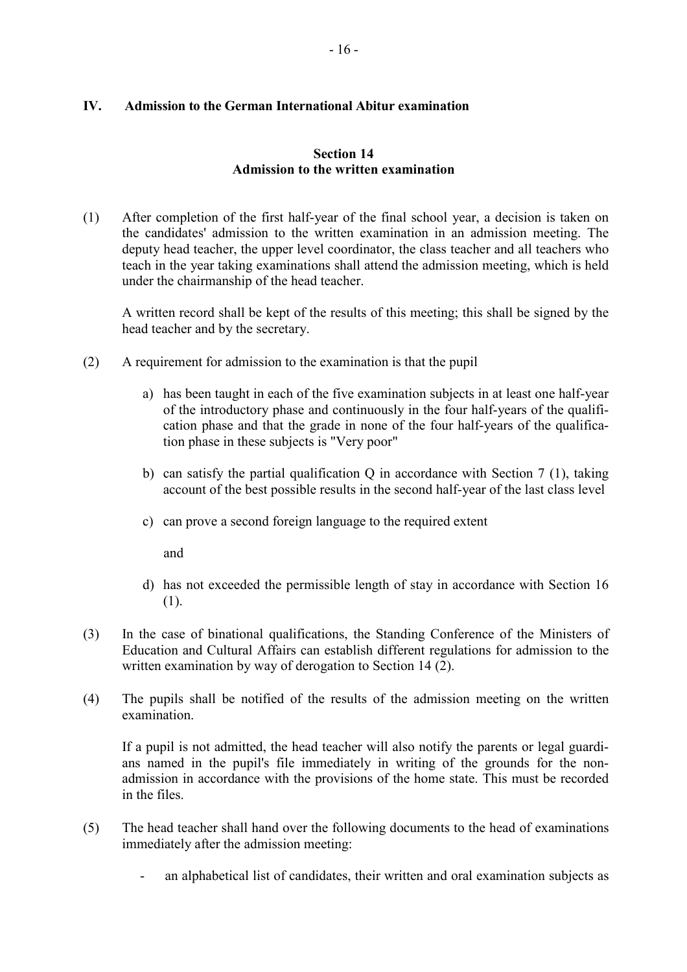# **IV. Admission to the German International Abitur examination**

# **Section 14 Admission to the written examination**

(1) After completion of the first half-year of the final school year, a decision is taken on the candidates' admission to the written examination in an admission meeting. The deputy head teacher, the upper level coordinator, the class teacher and all teachers who teach in the year taking examinations shall attend the admission meeting, which is held under the chairmanship of the head teacher.

A written record shall be kept of the results of this meeting; this shall be signed by the head teacher and by the secretary.

- (2) A requirement for admission to the examination is that the pupil
	- a) has been taught in each of the five examination subjects in at least one half-year of the introductory phase and continuously in the four half-years of the qualification phase and that the grade in none of the four half-years of the qualification phase in these subjects is "Very poor"
	- b) can satisfy the partial qualification Q in accordance with Section 7 (1), taking account of the best possible results in the second half-year of the last class level
	- c) can prove a second foreign language to the required extent

and

- d) has not exceeded the permissible length of stay in accordance with Section 16 (1).
- (3) In the case of binational qualifications, the Standing Conference of the Ministers of Education and Cultural Affairs can establish different regulations for admission to the written examination by way of derogation to Section 14 (2).
- (4) The pupils shall be notified of the results of the admission meeting on the written examination.

If a pupil is not admitted, the head teacher will also notify the parents or legal guardians named in the pupil's file immediately in writing of the grounds for the nonadmission in accordance with the provisions of the home state. This must be recorded in the files.

- (5) The head teacher shall hand over the following documents to the head of examinations immediately after the admission meeting:
	- an alphabetical list of candidates, their written and oral examination subjects as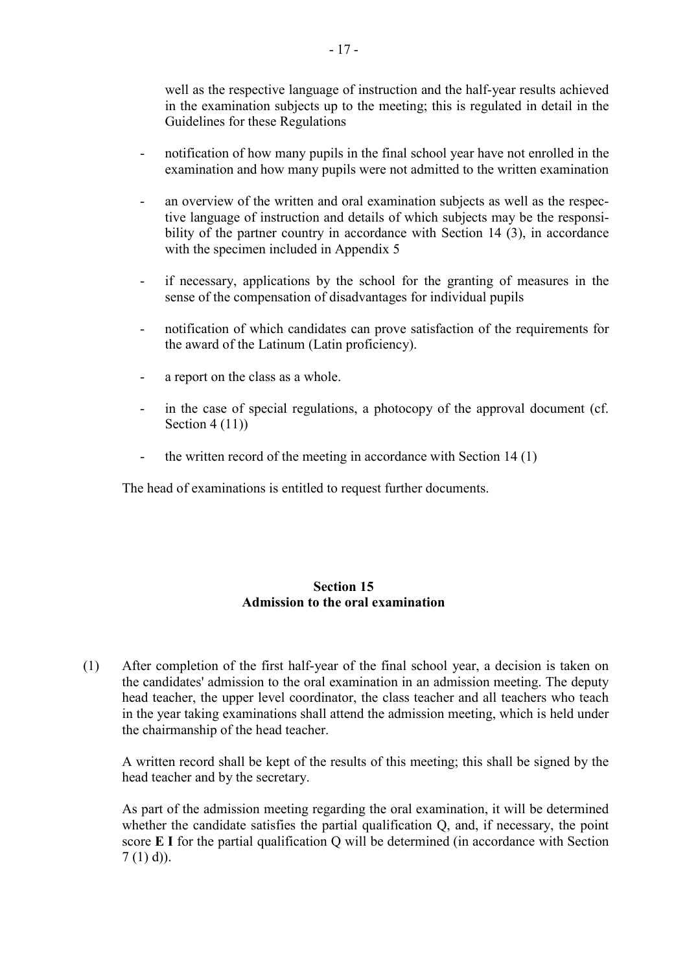well as the respective language of instruction and the half-year results achieved in the examination subjects up to the meeting; this is regulated in detail in the Guidelines for these Regulations

- notification of how many pupils in the final school year have not enrolled in the examination and how many pupils were not admitted to the written examination
- an overview of the written and oral examination subjects as well as the respective language of instruction and details of which subjects may be the responsibility of the partner country in accordance with Section 14 (3), in accordance with the specimen included in Appendix 5
- if necessary, applications by the school for the granting of measures in the sense of the compensation of disadvantages for individual pupils
- notification of which candidates can prove satisfaction of the requirements for the award of the Latinum (Latin proficiency).
- a report on the class as a whole.
- in the case of special regulations, a photocopy of the approval document (cf. Section 4 (11))
- the written record of the meeting in accordance with Section 14 (1)

The head of examinations is entitled to request further documents.

# **Section 15 Admission to the oral examination**

(1) After completion of the first half-year of the final school year, a decision is taken on the candidates' admission to the oral examination in an admission meeting. The deputy head teacher, the upper level coordinator, the class teacher and all teachers who teach in the year taking examinations shall attend the admission meeting, which is held under the chairmanship of the head teacher.

A written record shall be kept of the results of this meeting; this shall be signed by the head teacher and by the secretary.

As part of the admission meeting regarding the oral examination, it will be determined whether the candidate satisfies the partial qualification Q, and, if necessary, the point score **E I** for the partial qualification Q will be determined (in accordance with Section  $7(1)$  d)).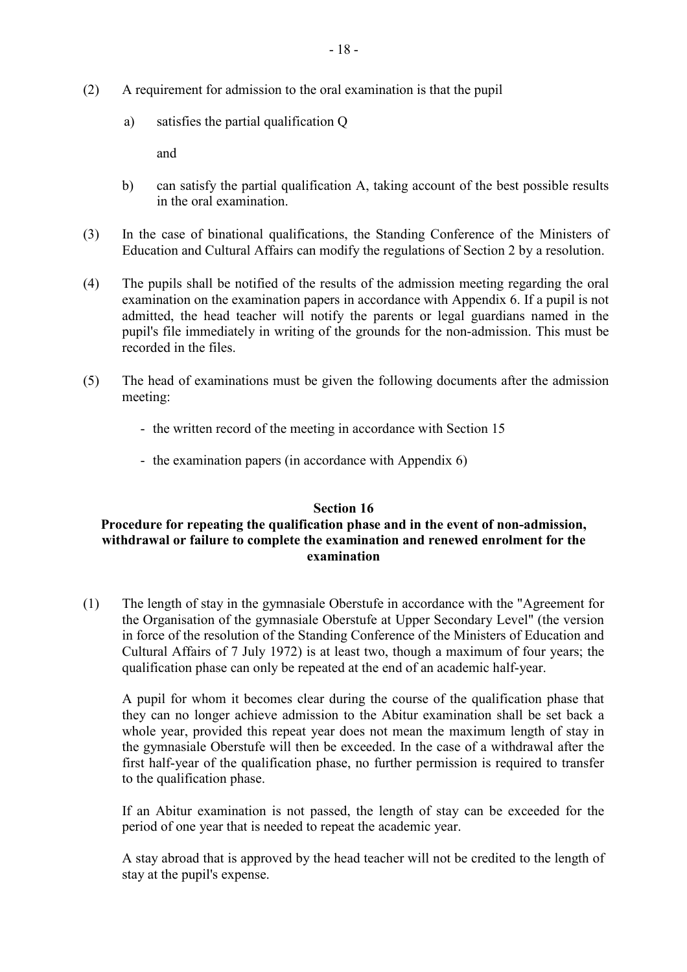- (2) A requirement for admission to the oral examination is that the pupil
	- a) satisfies the partial qualification Q

and

- b) can satisfy the partial qualification A, taking account of the best possible results in the oral examination.
- (3) In the case of binational qualifications, the Standing Conference of the Ministers of Education and Cultural Affairs can modify the regulations of Section 2 by a resolution.
- (4) The pupils shall be notified of the results of the admission meeting regarding the oral examination on the examination papers in accordance with Appendix 6. If a pupil is not admitted, the head teacher will notify the parents or legal guardians named in the pupil's file immediately in writing of the grounds for the non-admission. This must be recorded in the files.
- (5) The head of examinations must be given the following documents after the admission meeting:
	- the written record of the meeting in accordance with Section 15
	- the examination papers (in accordance with Appendix 6)

### **Section 16**

# **Procedure for repeating the qualification phase and in the event of non-admission, withdrawal or failure to complete the examination and renewed enrolment for the examination**

(1) The length of stay in the gymnasiale Oberstufe in accordance with the "Agreement for the Organisation of the gymnasiale Oberstufe at Upper Secondary Level" (the version in force of the resolution of the Standing Conference of the Ministers of Education and Cultural Affairs of 7 July 1972) is at least two, though a maximum of four years; the qualification phase can only be repeated at the end of an academic half-year.

A pupil for whom it becomes clear during the course of the qualification phase that they can no longer achieve admission to the Abitur examination shall be set back a whole year, provided this repeat year does not mean the maximum length of stay in the gymnasiale Oberstufe will then be exceeded. In the case of a withdrawal after the first half-year of the qualification phase, no further permission is required to transfer to the qualification phase.

If an Abitur examination is not passed, the length of stay can be exceeded for the period of one year that is needed to repeat the academic year.

A stay abroad that is approved by the head teacher will not be credited to the length of stay at the pupil's expense.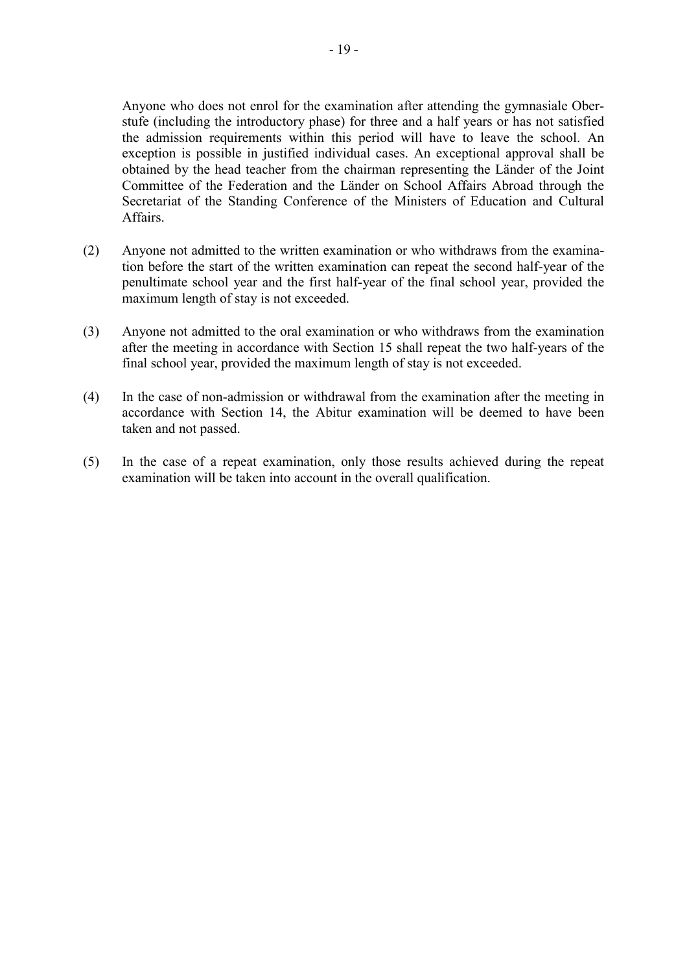Anyone who does not enrol for the examination after attending the gymnasiale Oberstufe (including the introductory phase) for three and a half years or has not satisfied the admission requirements within this period will have to leave the school. An exception is possible in justified individual cases. An exceptional approval shall be obtained by the head teacher from the chairman representing the Länder of the Joint Committee of the Federation and the Länder on School Affairs Abroad through the Secretariat of the Standing Conference of the Ministers of Education and Cultural Affairs.

- (2) Anyone not admitted to the written examination or who withdraws from the examination before the start of the written examination can repeat the second half-year of the penultimate school year and the first half-year of the final school year, provided the maximum length of stay is not exceeded.
- (3) Anyone not admitted to the oral examination or who withdraws from the examination after the meeting in accordance with Section 15 shall repeat the two half-years of the final school year, provided the maximum length of stay is not exceeded.
- (4) In the case of non-admission or withdrawal from the examination after the meeting in accordance with Section 14, the Abitur examination will be deemed to have been taken and not passed.
- (5) In the case of a repeat examination, only those results achieved during the repeat examination will be taken into account in the overall qualification.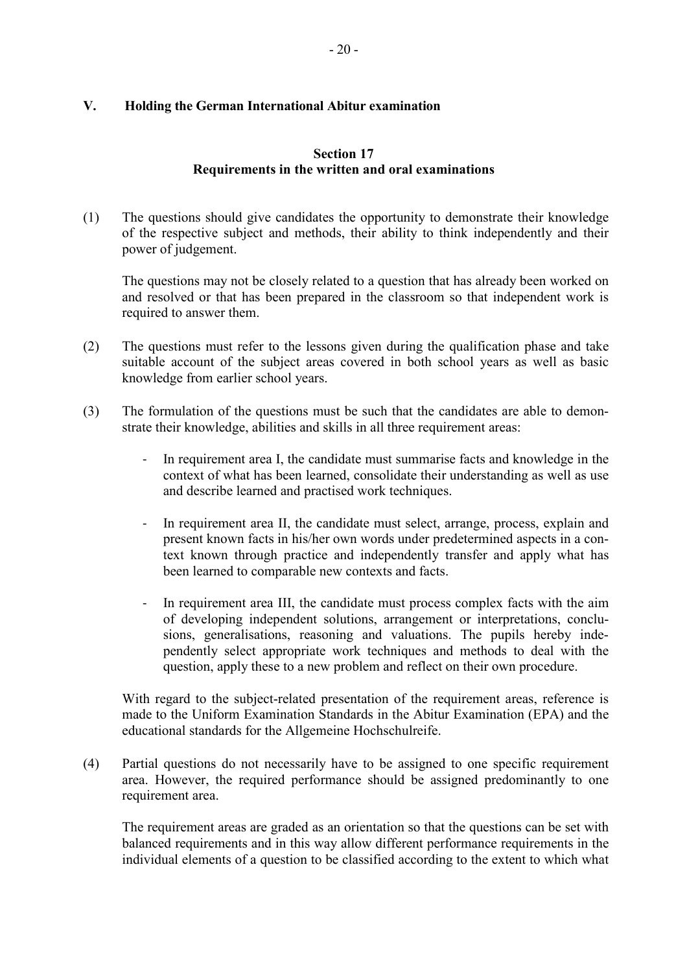# **V. Holding the German International Abitur examination**

# **Section 17 Requirements in the written and oral examinations**

(1) The questions should give candidates the opportunity to demonstrate their knowledge of the respective subject and methods, their ability to think independently and their power of judgement.

The questions may not be closely related to a question that has already been worked on and resolved or that has been prepared in the classroom so that independent work is required to answer them.

- (2) The questions must refer to the lessons given during the qualification phase and take suitable account of the subject areas covered in both school years as well as basic knowledge from earlier school years.
- (3) The formulation of the questions must be such that the candidates are able to demonstrate their knowledge, abilities and skills in all three requirement areas:
	- In requirement area I, the candidate must summarise facts and knowledge in the context of what has been learned, consolidate their understanding as well as use and describe learned and practised work techniques.
	- In requirement area II, the candidate must select, arrange, process, explain and present known facts in his/her own words under predetermined aspects in a context known through practice and independently transfer and apply what has been learned to comparable new contexts and facts.
	- In requirement area III, the candidate must process complex facts with the aim of developing independent solutions, arrangement or interpretations, conclusions, generalisations, reasoning and valuations. The pupils hereby independently select appropriate work techniques and methods to deal with the question, apply these to a new problem and reflect on their own procedure.

With regard to the subject-related presentation of the requirement areas, reference is made to the Uniform Examination Standards in the Abitur Examination (EPA) and the educational standards for the Allgemeine Hochschulreife.

(4) Partial questions do not necessarily have to be assigned to one specific requirement area. However, the required performance should be assigned predominantly to one requirement area.

The requirement areas are graded as an orientation so that the questions can be set with balanced requirements and in this way allow different performance requirements in the individual elements of a question to be classified according to the extent to which what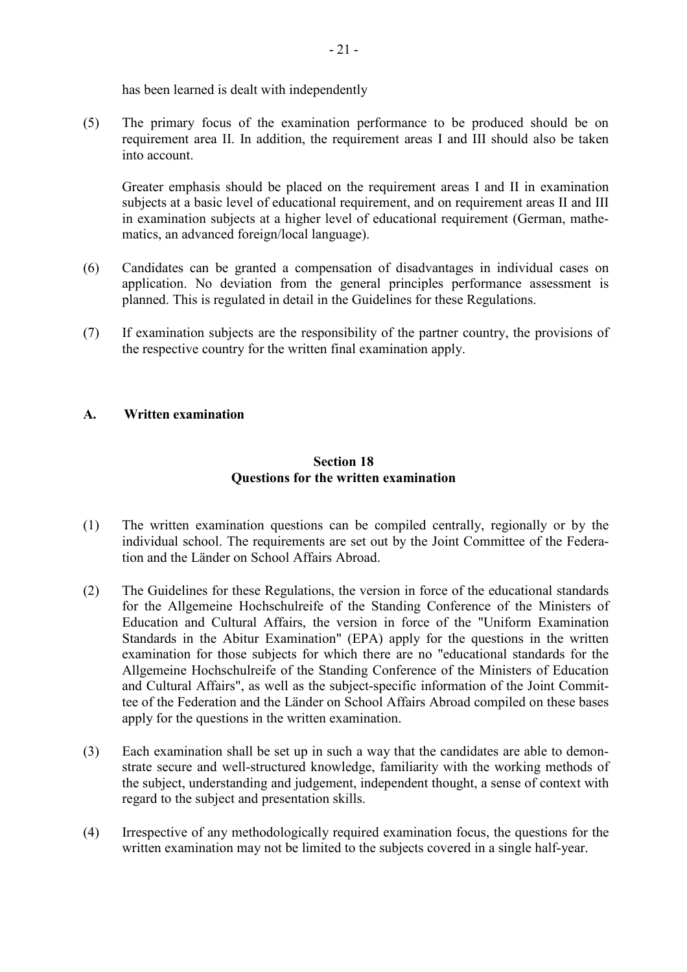has been learned is dealt with independently

(5) The primary focus of the examination performance to be produced should be on requirement area II. In addition, the requirement areas I and III should also be taken into account.

Greater emphasis should be placed on the requirement areas I and II in examination subjects at a basic level of educational requirement, and on requirement areas II and III in examination subjects at a higher level of educational requirement (German, mathematics, an advanced foreign/local language).

- (6) Candidates can be granted a compensation of disadvantages in individual cases on application. No deviation from the general principles performance assessment is planned. This is regulated in detail in the Guidelines for these Regulations.
- (7) If examination subjects are the responsibility of the partner country, the provisions of the respective country for the written final examination apply.

# **A. Written examination**

# **Section 18 Questions for the written examination**

- (1) The written examination questions can be compiled centrally, regionally or by the individual school. The requirements are set out by the Joint Committee of the Federation and the Länder on School Affairs Abroad.
- (2) The Guidelines for these Regulations, the version in force of the educational standards for the Allgemeine Hochschulreife of the Standing Conference of the Ministers of Education and Cultural Affairs, the version in force of the "Uniform Examination Standards in the Abitur Examination" (EPA) apply for the questions in the written examination for those subjects for which there are no "educational standards for the Allgemeine Hochschulreife of the Standing Conference of the Ministers of Education and Cultural Affairs", as well as the subject-specific information of the Joint Committee of the Federation and the Länder on School Affairs Abroad compiled on these bases apply for the questions in the written examination.
- (3) Each examination shall be set up in such a way that the candidates are able to demonstrate secure and well-structured knowledge, familiarity with the working methods of the subject, understanding and judgement, independent thought, a sense of context with regard to the subject and presentation skills.
- (4) Irrespective of any methodologically required examination focus, the questions for the written examination may not be limited to the subjects covered in a single half-year.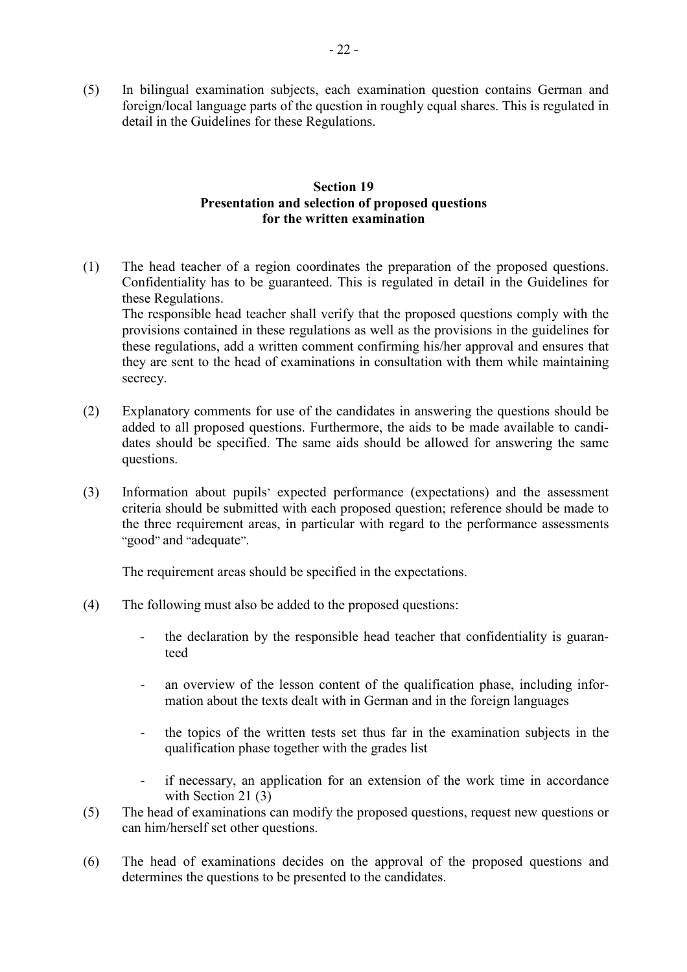(5) In bilingual examination subjects, each examination question contains German and foreign/local language parts of the question in roughly equal shares. This is regulated in detail in the Guidelines for these Regulations.

# **Section 19 Presentation and selection of proposed questions for the written examination**

- (1) The head teacher of a region coordinates the preparation of the proposed questions. Confidentiality has to be guaranteed. This is regulated in detail in the Guidelines for these Regulations. The responsible head teacher shall verify that the proposed questions comply with the provisions contained in these regulations as well as the provisions in the guidelines for these regulations, add a written comment confirming his/her approval and ensures that they are sent to the head of examinations in consultation with them while maintaining secrecy.
- (2) Explanatory comments for use of the candidates in answering the questions should be added to all proposed questions. Furthermore, the aids to be made available to candidates should be specified. The same aids should be allowed for answering the same questions.
- (3) Information about pupils' expected performance (expectations) and the assessment criteria should be submitted with each proposed question; reference should be made to the three requirement areas, in particular with regard to the performance assessments "good" and "adequate".

The requirement areas should be specified in the expectations.

- (4) The following must also be added to the proposed questions:
	- the declaration by the responsible head teacher that confidentiality is guaranteed
	- an overview of the lesson content of the qualification phase, including information about the texts dealt with in German and in the foreign languages
	- the topics of the written tests set thus far in the examination subjects in the qualification phase together with the grades list
	- if necessary, an application for an extension of the work time in accordance with Section 21 (3)
- (5) The head of examinations can modify the proposed questions, request new questions or can him/herself set other questions.
- (6) The head of examinations decides on the approval of the proposed questions and determines the questions to be presented to the candidates.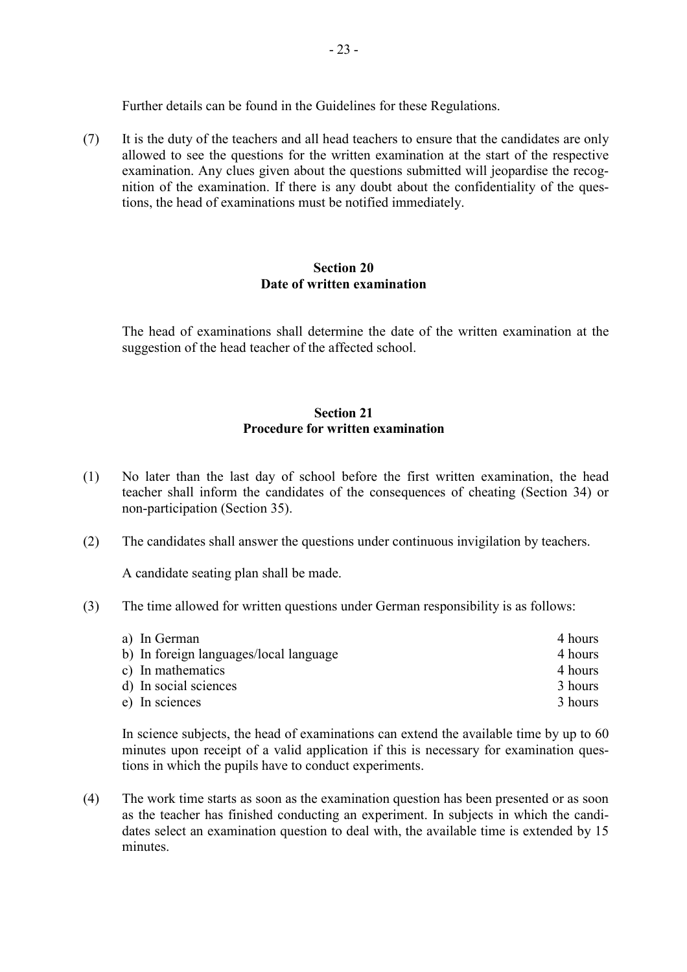Further details can be found in the Guidelines for these Regulations.

(7) It is the duty of the teachers and all head teachers to ensure that the candidates are only allowed to see the questions for the written examination at the start of the respective examination. Any clues given about the questions submitted will jeopardise the recognition of the examination. If there is any doubt about the confidentiality of the questions, the head of examinations must be notified immediately.

#### **Section 20 Date of written examination**

 The head of examinations shall determine the date of the written examination at the suggestion of the head teacher of the affected school.

# **Section 21 Procedure for written examination**

- (1) No later than the last day of school before the first written examination, the head teacher shall inform the candidates of the consequences of cheating (Section 34) or non-participation (Section 35).
- (2) The candidates shall answer the questions under continuous invigilation by teachers.

A candidate seating plan shall be made.

(3) The time allowed for written questions under German responsibility is as follows:

| a) In German                           | 4 hours |
|----------------------------------------|---------|
| b) In foreign languages/local language | 4 hours |
| c) In mathematics                      | 4 hours |
| d) In social sciences                  | 3 hours |
| e) In sciences                         | 3 hours |

In science subjects, the head of examinations can extend the available time by up to 60 minutes upon receipt of a valid application if this is necessary for examination questions in which the pupils have to conduct experiments.

(4) The work time starts as soon as the examination question has been presented or as soon as the teacher has finished conducting an experiment. In subjects in which the candidates select an examination question to deal with, the available time is extended by 15 minutes.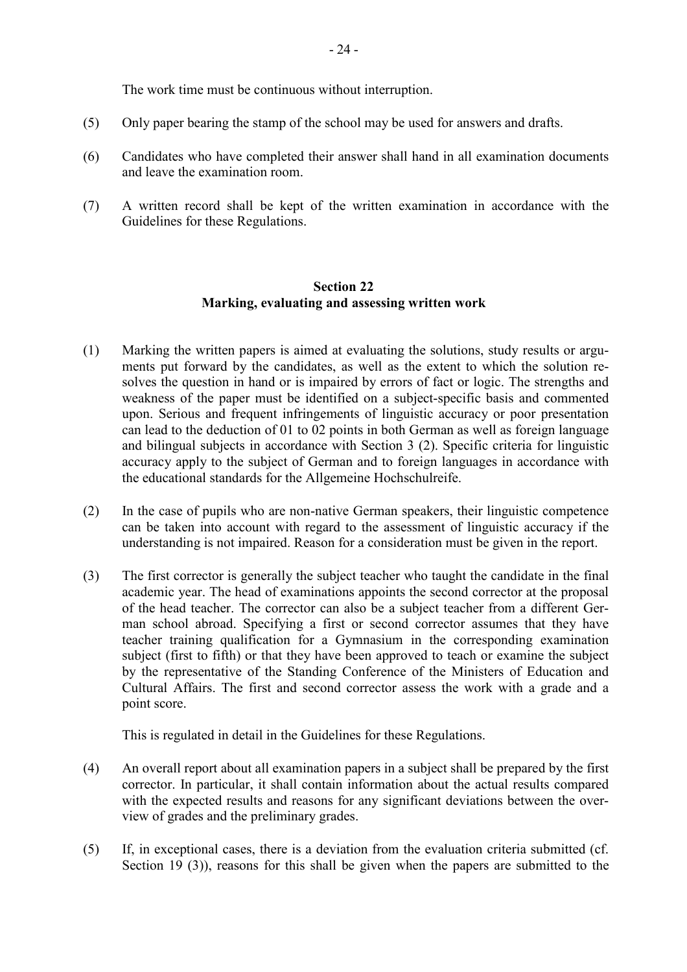The work time must be continuous without interruption.

- (5) Only paper bearing the stamp of the school may be used for answers and drafts.
- (6) Candidates who have completed their answer shall hand in all examination documents and leave the examination room.
- (7) A written record shall be kept of the written examination in accordance with the Guidelines for these Regulations.

# **Section 22 Marking, evaluating and assessing written work**

- (1) Marking the written papers is aimed at evaluating the solutions, study results or arguments put forward by the candidates, as well as the extent to which the solution resolves the question in hand or is impaired by errors of fact or logic. The strengths and weakness of the paper must be identified on a subject-specific basis and commented upon. Serious and frequent infringements of linguistic accuracy or poor presentation can lead to the deduction of 01 to 02 points in both German as well as foreign language and bilingual subjects in accordance with Section 3 (2). Specific criteria for linguistic accuracy apply to the subject of German and to foreign languages in accordance with the educational standards for the Allgemeine Hochschulreife.
- (2) In the case of pupils who are non-native German speakers, their linguistic competence can be taken into account with regard to the assessment of linguistic accuracy if the understanding is not impaired. Reason for a consideration must be given in the report.
- (3) The first corrector is generally the subject teacher who taught the candidate in the final academic year. The head of examinations appoints the second corrector at the proposal of the head teacher. The corrector can also be a subject teacher from a different German school abroad. Specifying a first or second corrector assumes that they have teacher training qualification for a Gymnasium in the corresponding examination subject (first to fifth) or that they have been approved to teach or examine the subject by the representative of the Standing Conference of the Ministers of Education and Cultural Affairs. The first and second corrector assess the work with a grade and a point score.

This is regulated in detail in the Guidelines for these Regulations.

- (4) An overall report about all examination papers in a subject shall be prepared by the first corrector. In particular, it shall contain information about the actual results compared with the expected results and reasons for any significant deviations between the overview of grades and the preliminary grades.
- (5) If, in exceptional cases, there is a deviation from the evaluation criteria submitted (cf. Section 19 (3)), reasons for this shall be given when the papers are submitted to the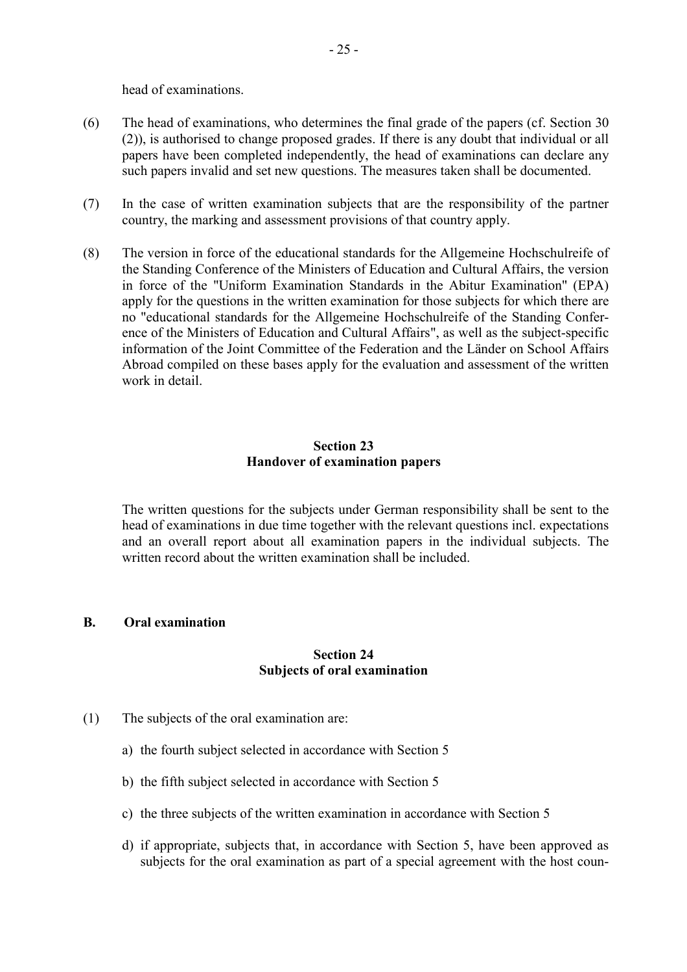head of examinations.

- (6) The head of examinations, who determines the final grade of the papers (cf. Section 30 (2)), is authorised to change proposed grades. If there is any doubt that individual or all papers have been completed independently, the head of examinations can declare any such papers invalid and set new questions. The measures taken shall be documented.
- (7) In the case of written examination subjects that are the responsibility of the partner country, the marking and assessment provisions of that country apply.
- (8) The version in force of the educational standards for the Allgemeine Hochschulreife of the Standing Conference of the Ministers of Education and Cultural Affairs, the version in force of the "Uniform Examination Standards in the Abitur Examination" (EPA) apply for the questions in the written examination for those subjects for which there are no "educational standards for the Allgemeine Hochschulreife of the Standing Conference of the Ministers of Education and Cultural Affairs", as well as the subject-specific information of the Joint Committee of the Federation and the Länder on School Affairs Abroad compiled on these bases apply for the evaluation and assessment of the written work in detail.

### **Section 23 Handover of examination papers**

 The written questions for the subjects under German responsibility shall be sent to the head of examinations in due time together with the relevant questions incl. expectations and an overall report about all examination papers in the individual subjects. The written record about the written examination shall be included.

### **B. Oral examination**

#### **Section 24 Subjects of oral examination**

- (1) The subjects of the oral examination are:
	- a) the fourth subject selected in accordance with Section 5
	- b) the fifth subject selected in accordance with Section 5
	- c) the three subjects of the written examination in accordance with Section 5
	- d) if appropriate, subjects that, in accordance with Section 5, have been approved as subjects for the oral examination as part of a special agreement with the host coun-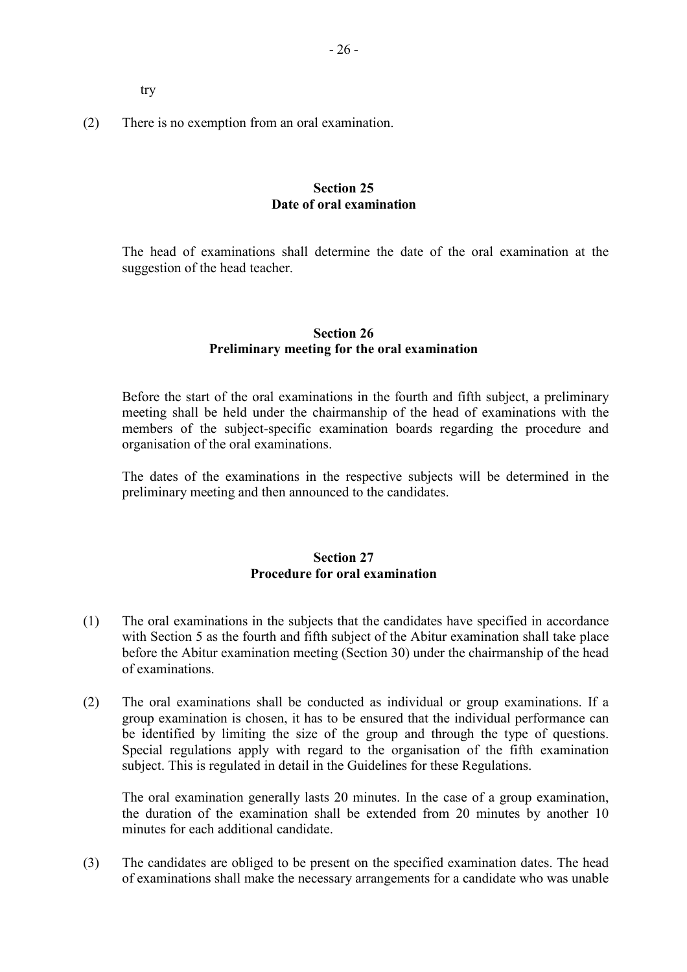try

(2) There is no exemption from an oral examination.

# **Section 25 Date of oral examination**

 The head of examinations shall determine the date of the oral examination at the suggestion of the head teacher.

# **Section 26 Preliminary meeting for the oral examination**

 Before the start of the oral examinations in the fourth and fifth subject, a preliminary meeting shall be held under the chairmanship of the head of examinations with the members of the subject-specific examination boards regarding the procedure and organisation of the oral examinations.

The dates of the examinations in the respective subjects will be determined in the preliminary meeting and then announced to the candidates.

# **Section 27 Procedure for oral examination**

- (1) The oral examinations in the subjects that the candidates have specified in accordance with Section 5 as the fourth and fifth subject of the Abitur examination shall take place before the Abitur examination meeting (Section 30) under the chairmanship of the head of examinations.
- (2) The oral examinations shall be conducted as individual or group examinations. If a group examination is chosen, it has to be ensured that the individual performance can be identified by limiting the size of the group and through the type of questions. Special regulations apply with regard to the organisation of the fifth examination subject. This is regulated in detail in the Guidelines for these Regulations.

The oral examination generally lasts 20 minutes. In the case of a group examination, the duration of the examination shall be extended from 20 minutes by another 10 minutes for each additional candidate.

(3) The candidates are obliged to be present on the specified examination dates. The head of examinations shall make the necessary arrangements for a candidate who was unable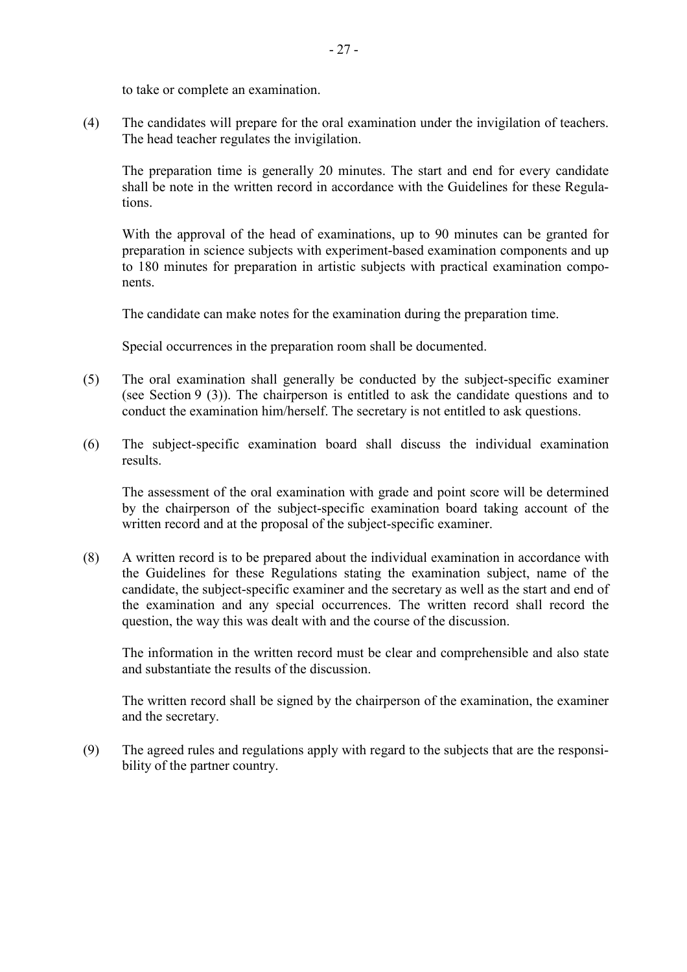to take or complete an examination.

(4) The candidates will prepare for the oral examination under the invigilation of teachers. The head teacher regulates the invigilation.

The preparation time is generally 20 minutes. The start and end for every candidate shall be note in the written record in accordance with the Guidelines for these Regulations.

With the approval of the head of examinations, up to 90 minutes can be granted for preparation in science subjects with experiment-based examination components and up to 180 minutes for preparation in artistic subjects with practical examination components.

The candidate can make notes for the examination during the preparation time.

Special occurrences in the preparation room shall be documented.

- (5) The oral examination shall generally be conducted by the subject-specific examiner (see Section 9 (3)). The chairperson is entitled to ask the candidate questions and to conduct the examination him/herself. The secretary is not entitled to ask questions.
- (6) The subject-specific examination board shall discuss the individual examination results.

The assessment of the oral examination with grade and point score will be determined by the chairperson of the subject-specific examination board taking account of the written record and at the proposal of the subject-specific examiner.

(8) A written record is to be prepared about the individual examination in accordance with the Guidelines for these Regulations stating the examination subject, name of the candidate, the subject-specific examiner and the secretary as well as the start and end of the examination and any special occurrences. The written record shall record the question, the way this was dealt with and the course of the discussion.

The information in the written record must be clear and comprehensible and also state and substantiate the results of the discussion.

The written record shall be signed by the chairperson of the examination, the examiner and the secretary.

(9) The agreed rules and regulations apply with regard to the subjects that are the responsibility of the partner country.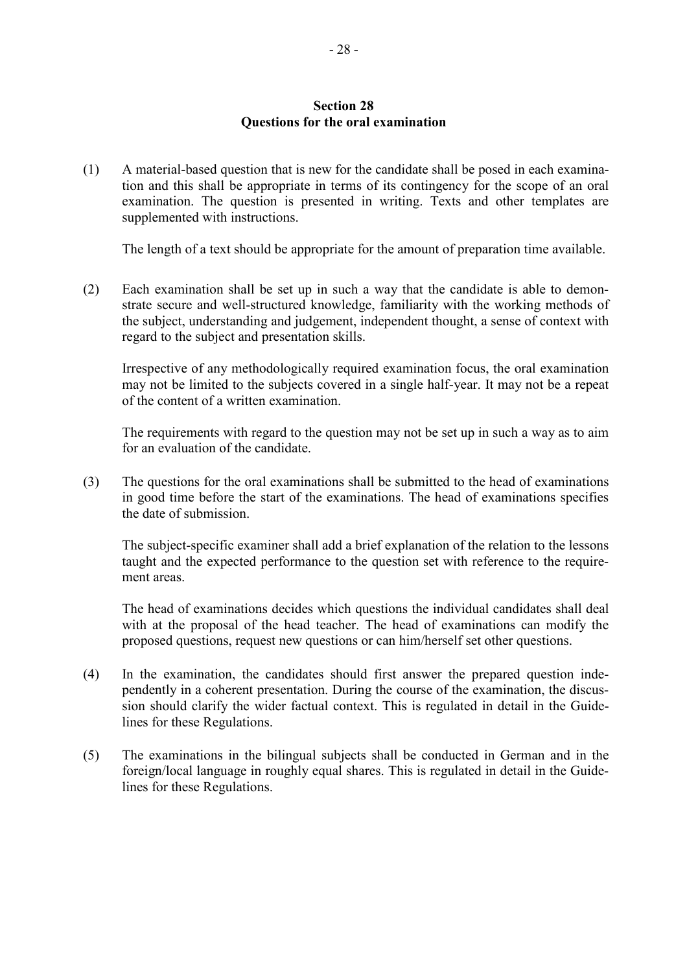#### **Section 28 Questions for the oral examination**

(1) A material-based question that is new for the candidate shall be posed in each examination and this shall be appropriate in terms of its contingency for the scope of an oral examination. The question is presented in writing. Texts and other templates are supplemented with instructions.

The length of a text should be appropriate for the amount of preparation time available.

(2) Each examination shall be set up in such a way that the candidate is able to demonstrate secure and well-structured knowledge, familiarity with the working methods of the subject, understanding and judgement, independent thought, a sense of context with regard to the subject and presentation skills.

Irrespective of any methodologically required examination focus, the oral examination may not be limited to the subjects covered in a single half-year. It may not be a repeat of the content of a written examination.

The requirements with regard to the question may not be set up in such a way as to aim for an evaluation of the candidate.

(3) The questions for the oral examinations shall be submitted to the head of examinations in good time before the start of the examinations. The head of examinations specifies the date of submission.

The subject-specific examiner shall add a brief explanation of the relation to the lessons taught and the expected performance to the question set with reference to the requirement areas.

The head of examinations decides which questions the individual candidates shall deal with at the proposal of the head teacher. The head of examinations can modify the proposed questions, request new questions or can him/herself set other questions.

- (4) In the examination, the candidates should first answer the prepared question independently in a coherent presentation. During the course of the examination, the discussion should clarify the wider factual context. This is regulated in detail in the Guidelines for these Regulations.
- (5) The examinations in the bilingual subjects shall be conducted in German and in the foreign/local language in roughly equal shares. This is regulated in detail in the Guidelines for these Regulations.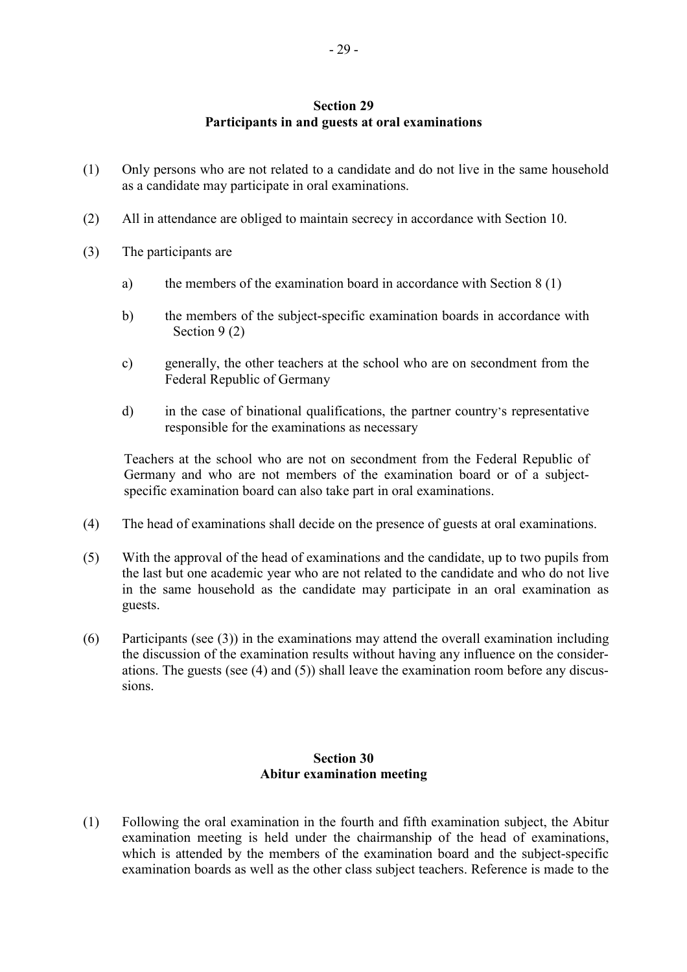# **Section 29 Participants in and guests at oral examinations**

- (1) Only persons who are not related to a candidate and do not live in the same household as a candidate may participate in oral examinations.
- (2) All in attendance are obliged to maintain secrecy in accordance with Section 10.
- (3) The participants are
	- a) the members of the examination board in accordance with Section 8 (1)
	- b) the members of the subject-specific examination boards in accordance with Section 9 (2)
	- c) generally, the other teachers at the school who are on secondment from the Federal Republic of Germany
	- d) in the case of binational qualifications, the partner country's representative responsible for the examinations as necessary

Teachers at the school who are not on secondment from the Federal Republic of Germany and who are not members of the examination board or of a subjectspecific examination board can also take part in oral examinations.

- (4) The head of examinations shall decide on the presence of guests at oral examinations.
- (5) With the approval of the head of examinations and the candidate, up to two pupils from the last but one academic year who are not related to the candidate and who do not live in the same household as the candidate may participate in an oral examination as guests.
- (6) Participants (see (3)) in the examinations may attend the overall examination including the discussion of the examination results without having any influence on the considerations. The guests (see (4) and (5)) shall leave the examination room before any discussions.

# **Section 30 Abitur examination meeting**

(1) Following the oral examination in the fourth and fifth examination subject, the Abitur examination meeting is held under the chairmanship of the head of examinations, which is attended by the members of the examination board and the subject-specific examination boards as well as the other class subject teachers. Reference is made to the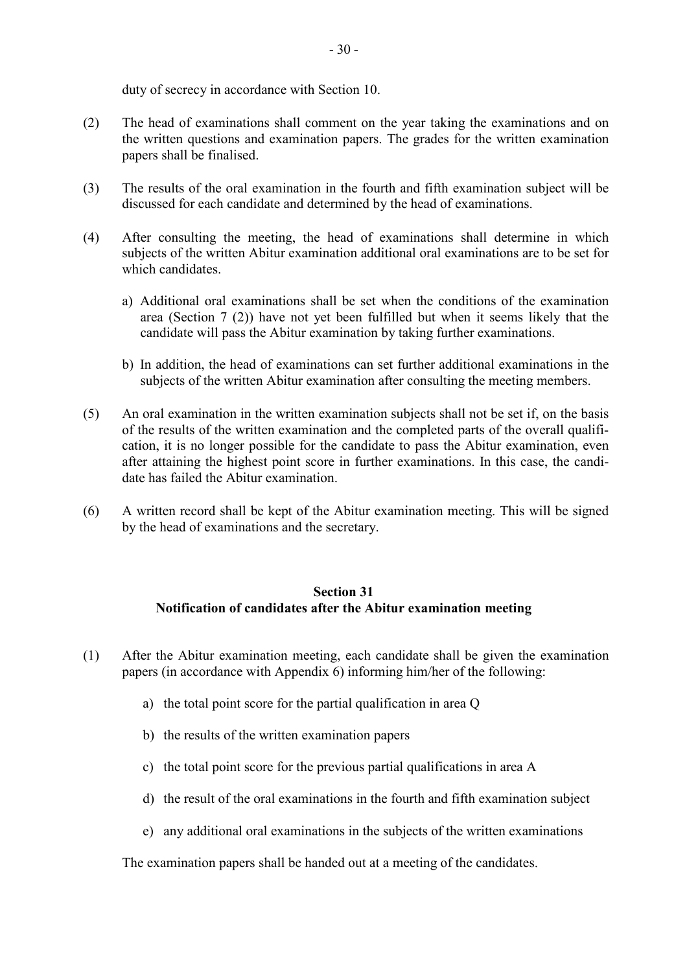duty of secrecy in accordance with Section 10.

- (2) The head of examinations shall comment on the year taking the examinations and on the written questions and examination papers. The grades for the written examination papers shall be finalised.
- (3) The results of the oral examination in the fourth and fifth examination subject will be discussed for each candidate and determined by the head of examinations.
- (4) After consulting the meeting, the head of examinations shall determine in which subjects of the written Abitur examination additional oral examinations are to be set for which candidates
	- a) Additional oral examinations shall be set when the conditions of the examination area (Section 7 (2)) have not yet been fulfilled but when it seems likely that the candidate will pass the Abitur examination by taking further examinations.
	- b) In addition, the head of examinations can set further additional examinations in the subjects of the written Abitur examination after consulting the meeting members.
- (5) An oral examination in the written examination subjects shall not be set if, on the basis of the results of the written examination and the completed parts of the overall qualification, it is no longer possible for the candidate to pass the Abitur examination, even after attaining the highest point score in further examinations. In this case, the candidate has failed the Abitur examination.
- (6) A written record shall be kept of the Abitur examination meeting. This will be signed by the head of examinations and the secretary.

# **Section 31 Notification of candidates after the Abitur examination meeting**

- (1) After the Abitur examination meeting, each candidate shall be given the examination papers (in accordance with Appendix 6) informing him/her of the following:
	- a) the total point score for the partial qualification in area Q
	- b) the results of the written examination papers
	- c) the total point score for the previous partial qualifications in area A
	- d) the result of the oral examinations in the fourth and fifth examination subject
	- e) any additional oral examinations in the subjects of the written examinations

The examination papers shall be handed out at a meeting of the candidates.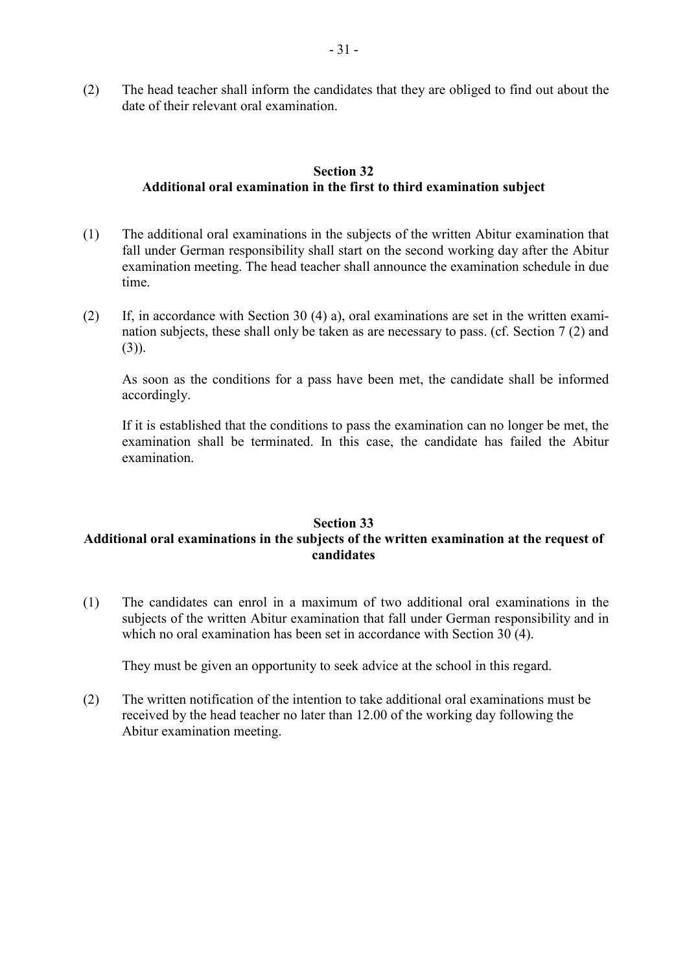(2) The head teacher shall inform the candidates that they are obliged to find out about the date of their relevant oral examination.

# **Section 32 Additional oral examination in the first to third examination subject**

- (1) The additional oral examinations in the subjects of the written Abitur examination that fall under German responsibility shall start on the second working day after the Abitur examination meeting. The head teacher shall announce the examination schedule in due time.
- (2) If, in accordance with Section 30 (4) a), oral examinations are set in the written examination subjects, these shall only be taken as are necessary to pass. (cf. Section 7 (2) and (3)).

As soon as the conditions for a pass have been met, the candidate shall be informed accordingly.

If it is established that the conditions to pass the examination can no longer be met, the examination shall be terminated. In this case, the candidate has failed the Abitur examination.

# **Section 33 Additional oral examinations in the subjects of the written examination at the request of candidates**

(1) The candidates can enrol in a maximum of two additional oral examinations in the subjects of the written Abitur examination that fall under German responsibility and in which no oral examination has been set in accordance with Section 30 (4).

They must be given an opportunity to seek advice at the school in this regard.

(2) The written notification of the intention to take additional oral examinations must be received by the head teacher no later than 12.00 of the working day following the Abitur examination meeting.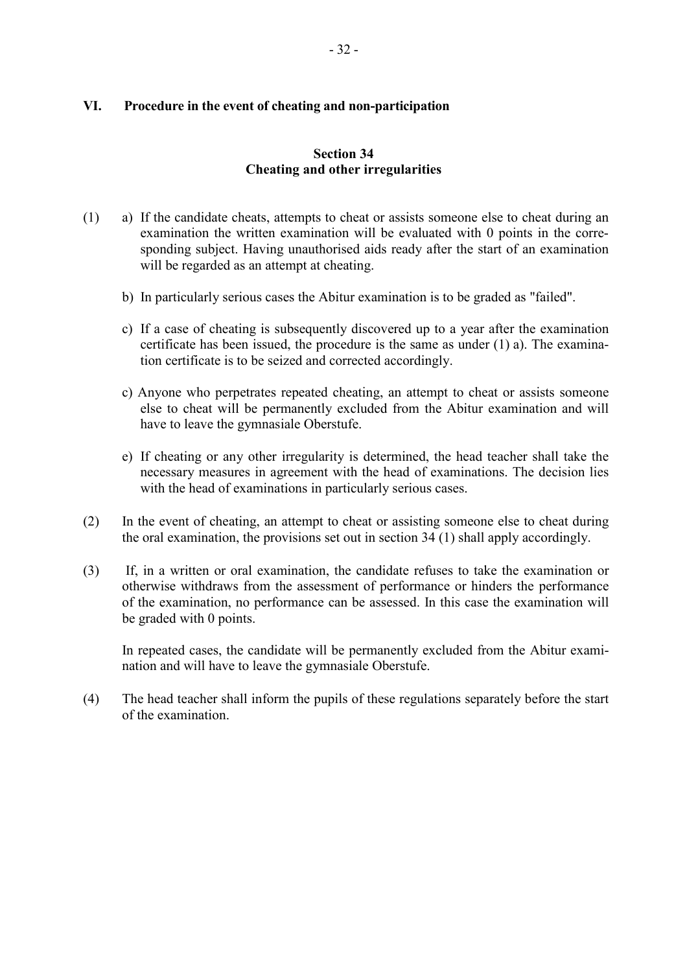# **VI. Procedure in the event of cheating and non-participation**

# **Section 34 Cheating and other irregularities**

- (1) a) If the candidate cheats, attempts to cheat or assists someone else to cheat during an examination the written examination will be evaluated with 0 points in the corresponding subject. Having unauthorised aids ready after the start of an examination will be regarded as an attempt at cheating.
	- b) In particularly serious cases the Abitur examination is to be graded as "failed".
	- c) If a case of cheating is subsequently discovered up to a year after the examination certificate has been issued, the procedure is the same as under (1) a). The examination certificate is to be seized and corrected accordingly.
	- c) Anyone who perpetrates repeated cheating, an attempt to cheat or assists someone else to cheat will be permanently excluded from the Abitur examination and will have to leave the gymnasiale Oberstufe.
	- e) If cheating or any other irregularity is determined, the head teacher shall take the necessary measures in agreement with the head of examinations. The decision lies with the head of examinations in particularly serious cases.
- (2) In the event of cheating, an attempt to cheat or assisting someone else to cheat during the oral examination, the provisions set out in section 34 (1) shall apply accordingly.
- (3) If, in a written or oral examination, the candidate refuses to take the examination or otherwise withdraws from the assessment of performance or hinders the performance of the examination, no performance can be assessed. In this case the examination will be graded with 0 points.

In repeated cases, the candidate will be permanently excluded from the Abitur examination and will have to leave the gymnasiale Oberstufe.

(4) The head teacher shall inform the pupils of these regulations separately before the start of the examination.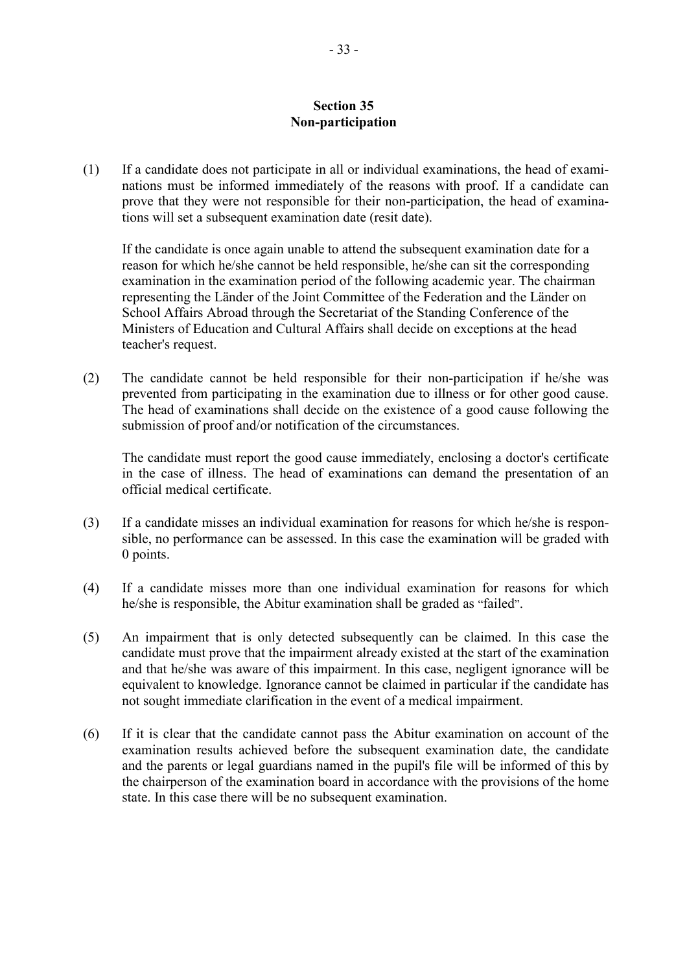#### **Section 35 Non-participation**

(1) If a candidate does not participate in all or individual examinations, the head of examinations must be informed immediately of the reasons with proof. If a candidate can prove that they were not responsible for their non-participation, the head of examinations will set a subsequent examination date (resit date).

If the candidate is once again unable to attend the subsequent examination date for a reason for which he/she cannot be held responsible, he/she can sit the corresponding examination in the examination period of the following academic year. The chairman representing the Länder of the Joint Committee of the Federation and the Länder on School Affairs Abroad through the Secretariat of the Standing Conference of the Ministers of Education and Cultural Affairs shall decide on exceptions at the head teacher's request.

(2) The candidate cannot be held responsible for their non-participation if he/she was prevented from participating in the examination due to illness or for other good cause. The head of examinations shall decide on the existence of a good cause following the submission of proof and/or notification of the circumstances.

The candidate must report the good cause immediately, enclosing a doctor's certificate in the case of illness. The head of examinations can demand the presentation of an official medical certificate.

- (3) If a candidate misses an individual examination for reasons for which he/she is responsible, no performance can be assessed. In this case the examination will be graded with 0 points.
- (4) If a candidate misses more than one individual examination for reasons for which he/she is responsible, the Abitur examination shall be graded as "failed".
- (5) An impairment that is only detected subsequently can be claimed. In this case the candidate must prove that the impairment already existed at the start of the examination and that he/she was aware of this impairment. In this case, negligent ignorance will be equivalent to knowledge. Ignorance cannot be claimed in particular if the candidate has not sought immediate clarification in the event of a medical impairment.
- (6) If it is clear that the candidate cannot pass the Abitur examination on account of the examination results achieved before the subsequent examination date, the candidate and the parents or legal guardians named in the pupil's file will be informed of this by the chairperson of the examination board in accordance with the provisions of the home state. In this case there will be no subsequent examination.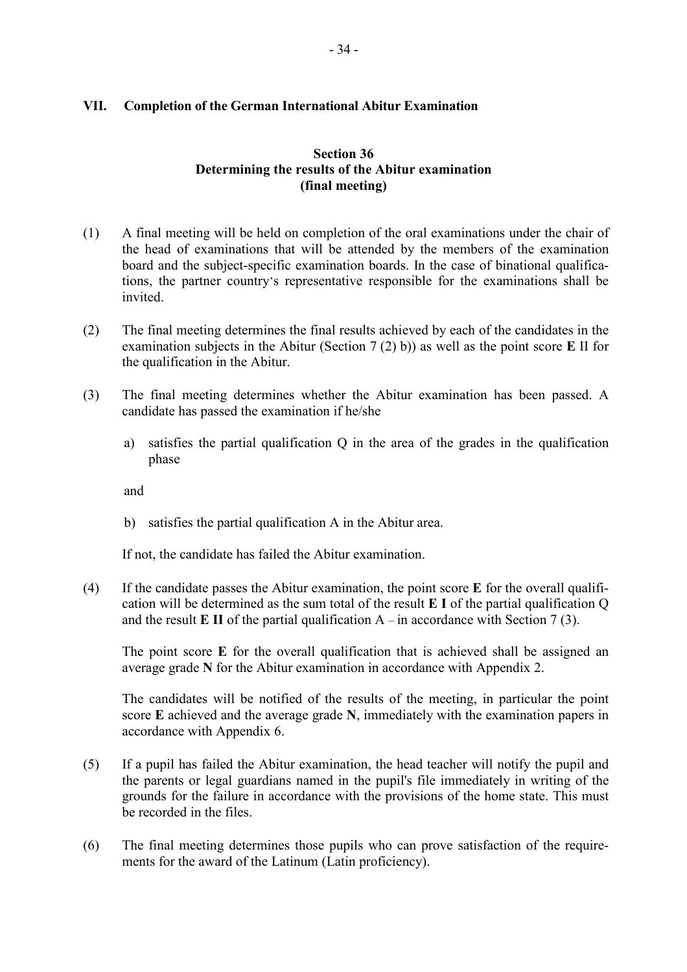# **VII. Completion of the German International Abitur Examination**

# **Section 36 Determining the results of the Abitur examination (final meeting)**

- (1) A final meeting will be held on completion of the oral examinations under the chair of the head of examinations that will be attended by the members of the examination board and the subject-specific examination boards. In the case of binational qualifications, the partner country's representative responsible for the examinations shall be invited.
- (2) The final meeting determines the final results achieved by each of the candidates in the examination subjects in the Abitur (Section 7 (2) b)) as well as the point score **E** II for the qualification in the Abitur.
- (3) The final meeting determines whether the Abitur examination has been passed. A candidate has passed the examination if he/she
	- a) satisfies the partial qualification Q in the area of the grades in the qualification phase

and

b) satisfies the partial qualification A in the Abitur area.

If not, the candidate has failed the Abitur examination.

(4) If the candidate passes the Abitur examination, the point score **E** for the overall qualification will be determined as the sum total of the result **E I** of the partial qualification Q and the result  $E \Pi$  of the partial qualification  $A - in$  accordance with Section 7 (3).

The point score **E** for the overall qualification that is achieved shall be assigned an average grade **N** for the Abitur examination in accordance with Appendix 2.

The candidates will be notified of the results of the meeting, in particular the point score **E** achieved and the average grade **N**, immediately with the examination papers in accordance with Appendix 6.

- (5) If a pupil has failed the Abitur examination, the head teacher will notify the pupil and the parents or legal guardians named in the pupil's file immediately in writing of the grounds for the failure in accordance with the provisions of the home state. This must be recorded in the files.
- (6) The final meeting determines those pupils who can prove satisfaction of the requirements for the award of the Latinum (Latin proficiency).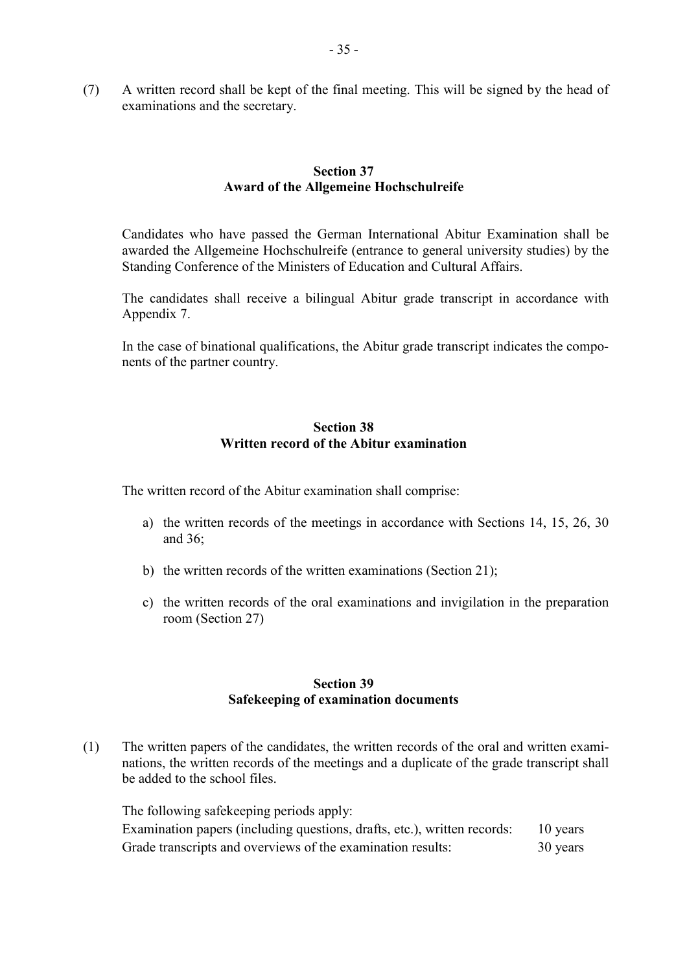(7) A written record shall be kept of the final meeting. This will be signed by the head of examinations and the secretary.

#### **Section 37 Award of the Allgemeine Hochschulreife**

 Candidates who have passed the German International Abitur Examination shall be awarded the Allgemeine Hochschulreife (entrance to general university studies) by the Standing Conference of the Ministers of Education and Cultural Affairs.

The candidates shall receive a bilingual Abitur grade transcript in accordance with Appendix 7.

In the case of binational qualifications, the Abitur grade transcript indicates the components of the partner country.

# **Section 38 Written record of the Abitur examination**

The written record of the Abitur examination shall comprise:

- a) the written records of the meetings in accordance with Sections 14, 15, 26, 30 and 36;
- b) the written records of the written examinations (Section 21);
- c) the written records of the oral examinations and invigilation in the preparation room (Section 27)

### **Section 39 Safekeeping of examination documents**

(1) The written papers of the candidates, the written records of the oral and written examinations, the written records of the meetings and a duplicate of the grade transcript shall be added to the school files.

The following safekeeping periods apply: Examination papers (including questions, drafts, etc.), written records: 10 years Grade transcripts and overviews of the examination results: 30 years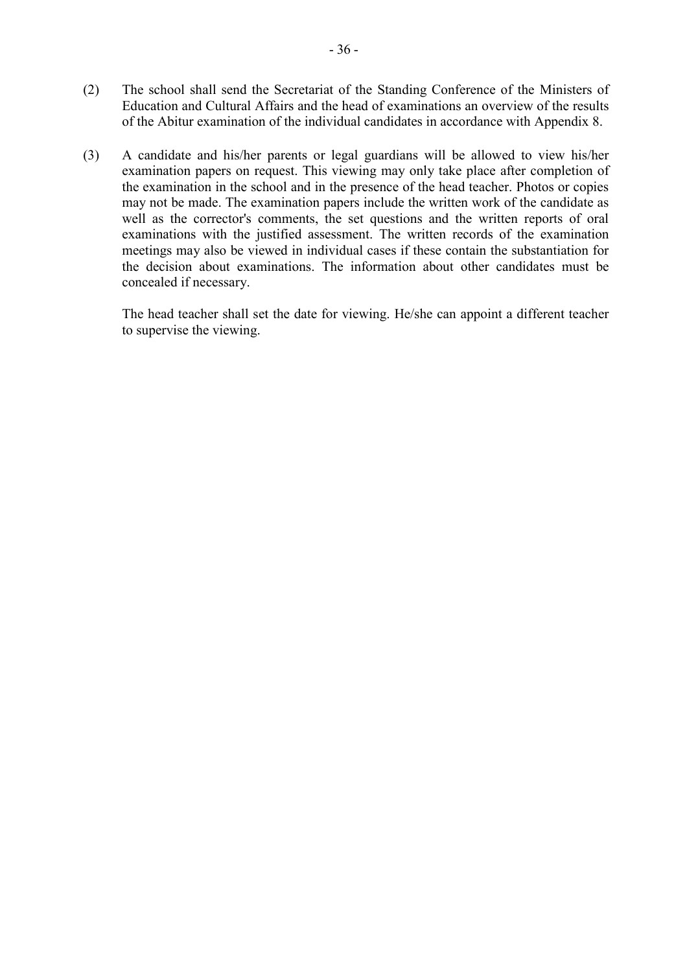- (2) The school shall send the Secretariat of the Standing Conference of the Ministers of Education and Cultural Affairs and the head of examinations an overview of the results of the Abitur examination of the individual candidates in accordance with Appendix 8.
- (3) A candidate and his/her parents or legal guardians will be allowed to view his/her examination papers on request. This viewing may only take place after completion of the examination in the school and in the presence of the head teacher. Photos or copies may not be made. The examination papers include the written work of the candidate as well as the corrector's comments, the set questions and the written reports of oral examinations with the justified assessment. The written records of the examination meetings may also be viewed in individual cases if these contain the substantiation for the decision about examinations. The information about other candidates must be concealed if necessary.

The head teacher shall set the date for viewing. He/she can appoint a different teacher to supervise the viewing.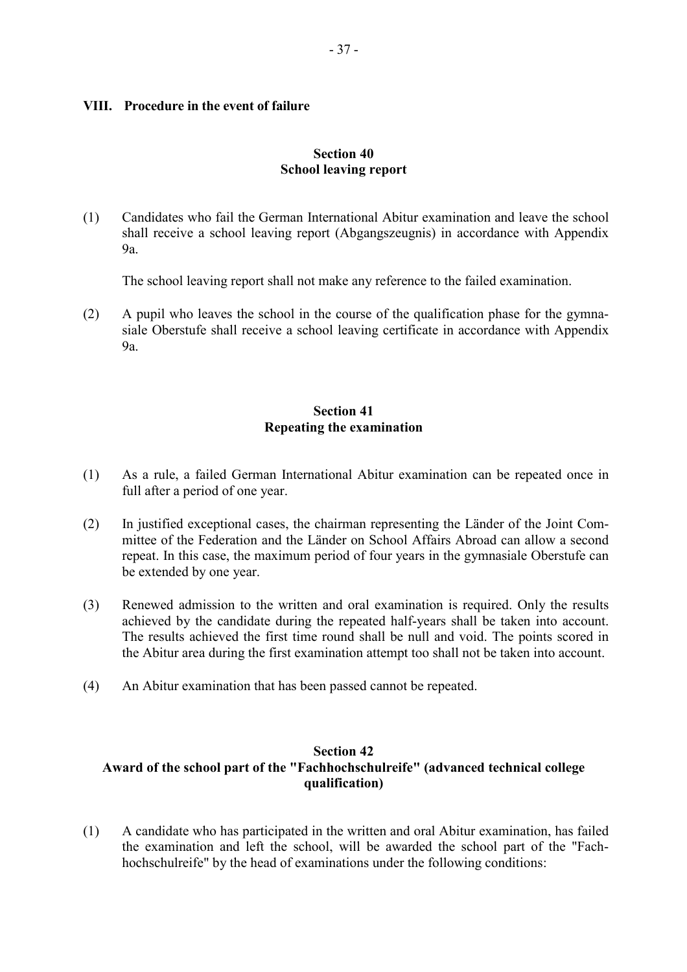#### **VIII. Procedure in the event of failure**

#### **Section 40 School leaving report**

(1) Candidates who fail the German International Abitur examination and leave the school shall receive a school leaving report (Abgangszeugnis) in accordance with Appendix  $9a$ 

The school leaving report shall not make any reference to the failed examination.

(2) A pupil who leaves the school in the course of the qualification phase for the gymnasiale Oberstufe shall receive a school leaving certificate in accordance with Appendix 9a.

# **Section 41 Repeating the examination**

- (1) As a rule, a failed German International Abitur examination can be repeated once in full after a period of one year.
- (2) In justified exceptional cases, the chairman representing the Länder of the Joint Committee of the Federation and the Länder on School Affairs Abroad can allow a second repeat. In this case, the maximum period of four years in the gymnasiale Oberstufe can be extended by one year.
- (3) Renewed admission to the written and oral examination is required. Only the results achieved by the candidate during the repeated half-years shall be taken into account. The results achieved the first time round shall be null and void. The points scored in the Abitur area during the first examination attempt too shall not be taken into account.
- (4) An Abitur examination that has been passed cannot be repeated.

# **Section 42 Award of the school part of the "Fachhochschulreife" (advanced technical college qualification)**

(1) A candidate who has participated in the written and oral Abitur examination, has failed the examination and left the school, will be awarded the school part of the "Fachhochschulreife" by the head of examinations under the following conditions: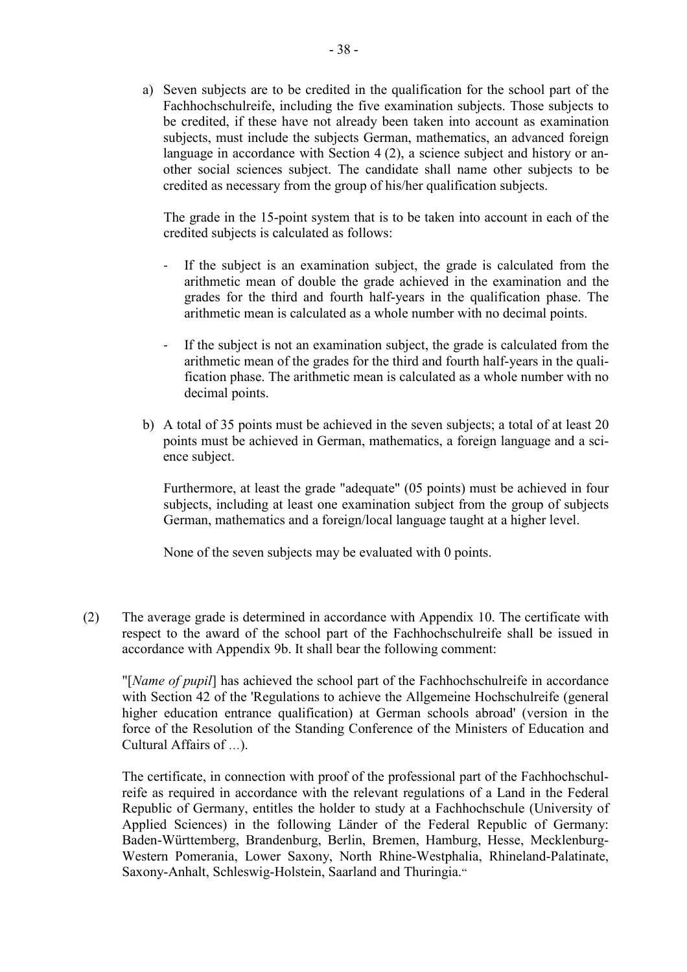a) Seven subjects are to be credited in the qualification for the school part of the Fachhochschulreife, including the five examination subjects. Those subjects to be credited, if these have not already been taken into account as examination subjects, must include the subjects German, mathematics, an advanced foreign language in accordance with Section 4 (2), a science subject and history or another social sciences subject. The candidate shall name other subjects to be credited as necessary from the group of his/her qualification subjects.

The grade in the 15-point system that is to be taken into account in each of the credited subjects is calculated as follows:

- If the subject is an examination subject, the grade is calculated from the arithmetic mean of double the grade achieved in the examination and the grades for the third and fourth half-years in the qualification phase. The arithmetic mean is calculated as a whole number with no decimal points.
- If the subject is not an examination subject, the grade is calculated from the arithmetic mean of the grades for the third and fourth half-years in the qualification phase. The arithmetic mean is calculated as a whole number with no decimal points.
- b) A total of 35 points must be achieved in the seven subjects; a total of at least 20 points must be achieved in German, mathematics, a foreign language and a science subject.

Furthermore, at least the grade "adequate" (05 points) must be achieved in four subjects, including at least one examination subject from the group of subjects German, mathematics and a foreign/local language taught at a higher level.

None of the seven subjects may be evaluated with 0 points.

(2) The average grade is determined in accordance with Appendix 10. The certificate with respect to the award of the school part of the Fachhochschulreife shall be issued in accordance with Appendix 9b. It shall bear the following comment:

"[*Name of pupil*] has achieved the school part of the Fachhochschulreife in accordance with Section 42 of the 'Regulations to achieve the Allgemeine Hochschulreife (general higher education entrance qualification) at German schools abroad' (version in the force of the Resolution of the Standing Conference of the Ministers of Education and Cultural Affairs of …).

The certificate, in connection with proof of the professional part of the Fachhochschulreife as required in accordance with the relevant regulations of a Land in the Federal Republic of Germany, entitles the holder to study at a Fachhochschule (University of Applied Sciences) in the following Länder of the Federal Republic of Germany: Baden-Württemberg, Brandenburg, Berlin, Bremen, Hamburg, Hesse, Mecklenburg-Western Pomerania, Lower Saxony, North Rhine-Westphalia, Rhineland-Palatinate, Saxony-Anhalt, Schleswig-Holstein, Saarland and Thuringia."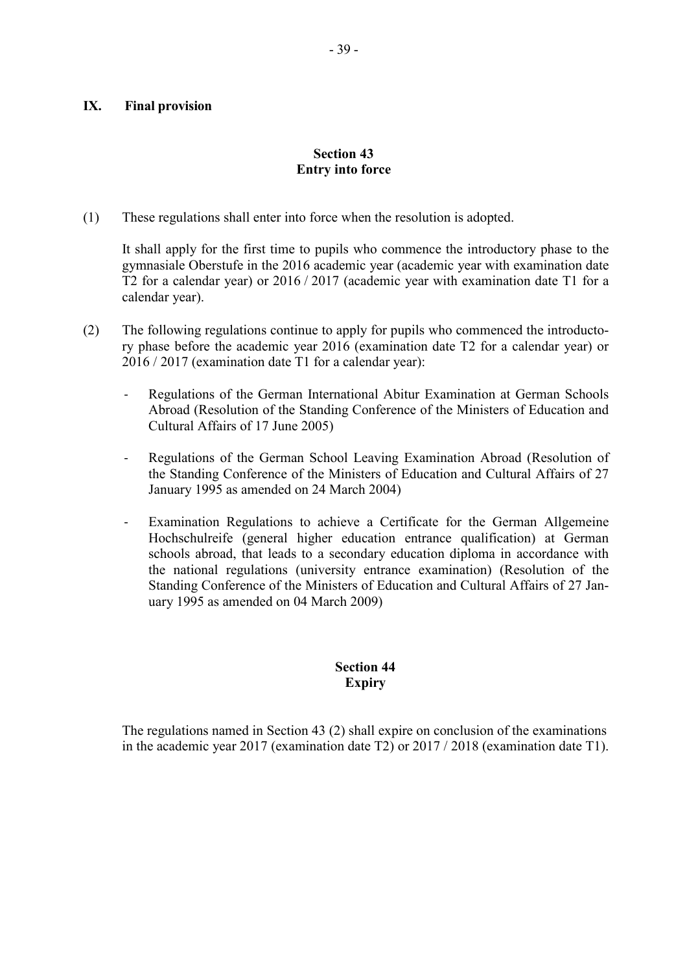# **IX. Final provision**

# **Section 43 Entry into force**

(1) These regulations shall enter into force when the resolution is adopted.

It shall apply for the first time to pupils who commence the introductory phase to the gymnasiale Oberstufe in the 2016 academic year (academic year with examination date T2 for a calendar year) or 2016 / 2017 (academic year with examination date T1 for a calendar year).

- (2) The following regulations continue to apply for pupils who commenced the introductory phase before the academic year 2016 (examination date T2 for a calendar year) or 2016 / 2017 (examination date T1 for a calendar year):
	- Regulations of the German International Abitur Examination at German Schools Abroad (Resolution of the Standing Conference of the Ministers of Education and Cultural Affairs of 17 June 2005)
	- Regulations of the German School Leaving Examination Abroad (Resolution of the Standing Conference of the Ministers of Education and Cultural Affairs of 27 January 1995 as amended on 24 March 2004)
	- Examination Regulations to achieve a Certificate for the German Allgemeine Hochschulreife (general higher education entrance qualification) at German schools abroad, that leads to a secondary education diploma in accordance with the national regulations (university entrance examination) (Resolution of the Standing Conference of the Ministers of Education and Cultural Affairs of 27 January 1995 as amended on 04 March 2009)

# **Section 44 Expiry**

 The regulations named in Section 43 (2) shall expire on conclusion of the examinations in the academic year 2017 (examination date T2) or 2017 / 2018 (examination date T1).